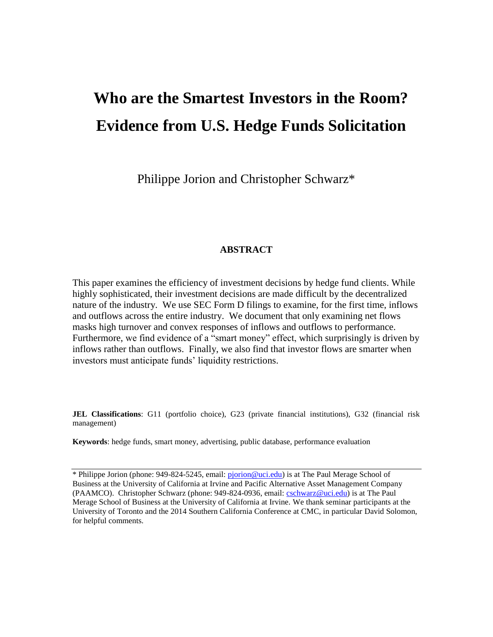# **Who are the Smartest Investors in the Room? Evidence from U.S. Hedge Funds Solicitation**

Philippe Jorion and Christopher Schwarz\*

# **ABSTRACT**

This paper examines the efficiency of investment decisions by hedge fund clients. While highly sophisticated, their investment decisions are made difficult by the decentralized nature of the industry. We use SEC Form D filings to examine, for the first time, inflows and outflows across the entire industry. We document that only examining net flows masks high turnover and convex responses of inflows and outflows to performance. Furthermore, we find evidence of a "smart money" effect, which surprisingly is driven by inflows rather than outflows. Finally, we also find that investor flows are smarter when investors must anticipate funds' liquidity restrictions.

**JEL Classifications**: G11 (portfolio choice), G23 (private financial institutions), G32 (financial risk management)

**Keywords**: hedge funds, smart money, advertising, public database, performance evaluation

<sup>\*</sup> Philippe Jorion (phone: 949-824-5245, email: [pjorion@uci.edu\)](mailto:pjorion@uci.edu) is at The Paul Merage School of Business at the University of California at Irvine and Pacific Alternative Asset Management Company (PAAMCO). Christopher Schwarz (phone: 949-824-0936, email: [cschwarz@uci.edu\)](mailto:cschwarz@uci.edu) is at The Paul Merage School of Business at the University of California at Irvine. We thank seminar participants at the University of Toronto and the 2014 Southern California Conference at CMC, in particular David Solomon, for helpful comments.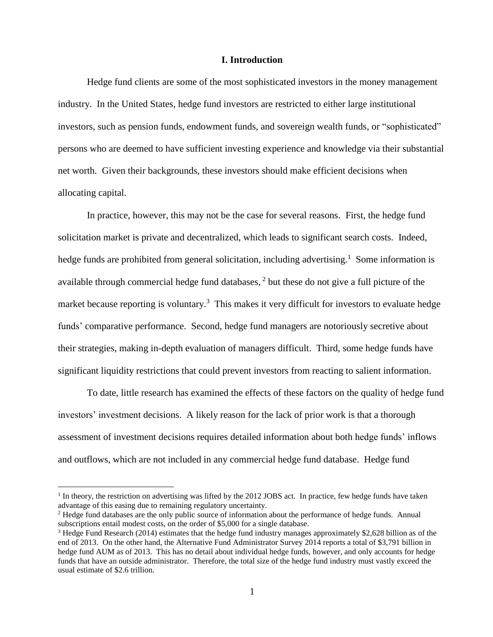## **I. Introduction**

Hedge fund clients are some of the most sophisticated investors in the money management industry. In the United States, hedge fund investors are restricted to either large institutional investors, such as pension funds, endowment funds, and sovereign wealth funds, or "sophisticated" persons who are deemed to have sufficient investing experience and knowledge via their substantial net worth. Given their backgrounds, these investors should make efficient decisions when allocating capital.

In practice, however, this may not be the case for several reasons. First, the hedge fund solicitation market is private and decentralized, which leads to significant search costs. Indeed, hedge funds are prohibited from general solicitation, including advertising.<sup>1</sup> Some information is available through commercial hedge fund databases,  $2$  but these do not give a full picture of the market because reporting is voluntary.<sup>3</sup> This makes it very difficult for investors to evaluate hedge funds' comparative performance. Second, hedge fund managers are notoriously secretive about their strategies, making in-depth evaluation of managers difficult. Third, some hedge funds have significant liquidity restrictions that could prevent investors from reacting to salient information.

To date, little research has examined the effects of these factors on the quality of hedge fund investors' investment decisions. A likely reason for the lack of prior work is that a thorough assessment of investment decisions requires detailed information about both hedge funds' inflows and outflows, which are not included in any commercial hedge fund database. Hedge fund

<sup>&</sup>lt;sup>1</sup> In theory, the restriction on advertising was lifted by the 2012 JOBS act. In practice, few hedge funds have taken advantage of this easing due to remaining regulatory uncertainty.

<sup>2</sup> Hedge fund databases are the only public source of information about the performance of hedge funds. Annual subscriptions entail modest costs, on the order of \$5,000 for a single database.

<sup>&</sup>lt;sup>3</sup> Hedge Fund Research (2014) estimates that the hedge fund industry manages approximately \$2,628 billion as of the end of 2013. On the other hand, the Alternative Fund Administrator Survey 2014 reports a total of \$3,791 billion in hedge fund AUM as of 2013. This has no detail about individual hedge funds, however, and only accounts for hedge funds that have an outside administrator. Therefore, the total size of the hedge fund industry must vastly exceed the usual estimate of \$2.6 trillion.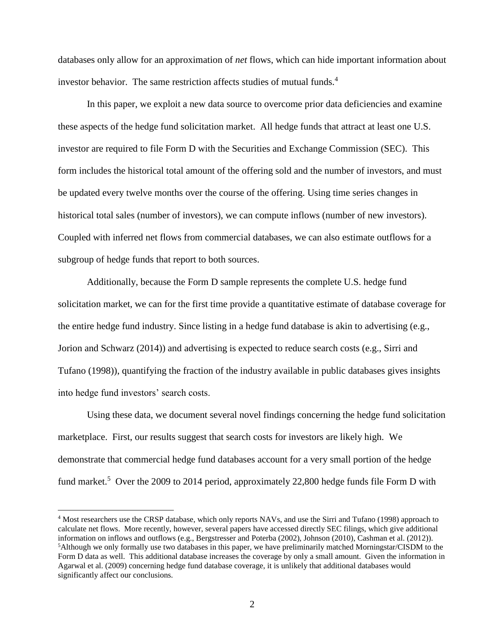databases only allow for an approximation of *net* flows, which can hide important information about investor behavior. The same restriction affects studies of mutual funds.<sup>4</sup>

In this paper, we exploit a new data source to overcome prior data deficiencies and examine these aspects of the hedge fund solicitation market. All hedge funds that attract at least one U.S. investor are required to file Form D with the Securities and Exchange Commission (SEC). This form includes the historical total amount of the offering sold and the number of investors, and must be updated every twelve months over the course of the offering. Using time series changes in historical total sales (number of investors), we can compute inflows (number of new investors). Coupled with inferred net flows from commercial databases, we can also estimate outflows for a subgroup of hedge funds that report to both sources.

Additionally, because the Form D sample represents the complete U.S. hedge fund solicitation market, we can for the first time provide a quantitative estimate of database coverage for the entire hedge fund industry. Since listing in a hedge fund database is akin to advertising (e.g., Jorion and Schwarz (2014)) and advertising is expected to reduce search costs (e.g., Sirri and Tufano (1998)), quantifying the fraction of the industry available in public databases gives insights into hedge fund investors' search costs.

Using these data, we document several novel findings concerning the hedge fund solicitation marketplace. First, our results suggest that search costs for investors are likely high. We demonstrate that commercial hedge fund databases account for a very small portion of the hedge fund market.<sup>5</sup> Over the 2009 to 2014 period, approximately 22,800 hedge funds file Form D with

<sup>&</sup>lt;sup>4</sup> Most researchers use the CRSP database, which only reports NAVs, and use the Sirri and Tufano (1998) approach to calculate net flows. More recently, however, several papers have accessed directly SEC filings, which give additional information on inflows and outflows (e.g., Bergstresser and Poterba (2002), Johnson (2010), Cashman et al. (2012)). <sup>5</sup>Although we only formally use two databases in this paper, we have preliminarily matched Morningstar/CISDM to the Form D data as well. This additional database increases the coverage by only a small amount. Given the information in Agarwal et al. (2009) concerning hedge fund database coverage, it is unlikely that additional databases would significantly affect our conclusions.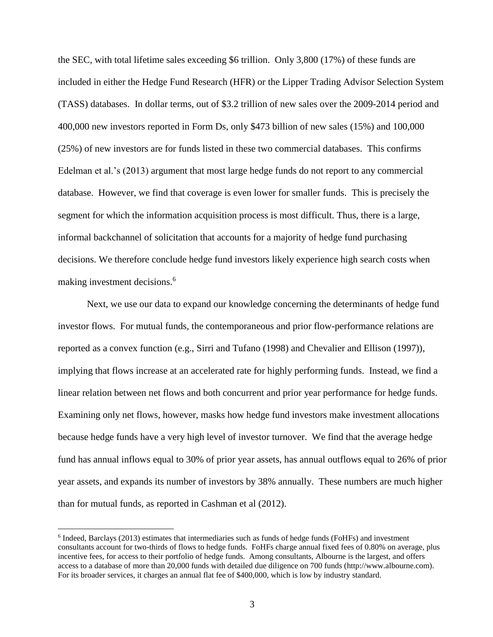the SEC, with total lifetime sales exceeding \$6 trillion. Only 3,800 (17%) of these funds are included in either the Hedge Fund Research (HFR) or the Lipper Trading Advisor Selection System (TASS) databases. In dollar terms, out of \$3.2 trillion of new sales over the 2009-2014 period and 400,000 new investors reported in Form Ds, only \$473 billion of new sales (15%) and 100,000 (25%) of new investors are for funds listed in these two commercial databases. This confirms Edelman et al.'s (2013) argument that most large hedge funds do not report to any commercial database. However, we find that coverage is even lower for smaller funds. This is precisely the segment for which the information acquisition process is most difficult. Thus, there is a large, informal backchannel of solicitation that accounts for a majority of hedge fund purchasing decisions. We therefore conclude hedge fund investors likely experience high search costs when making investment decisions. 6

Next, we use our data to expand our knowledge concerning the determinants of hedge fund investor flows. For mutual funds, the contemporaneous and prior flow-performance relations are reported as a convex function (e.g., Sirri and Tufano (1998) and Chevalier and Ellison (1997)), implying that flows increase at an accelerated rate for highly performing funds. Instead, we find a linear relation between net flows and both concurrent and prior year performance for hedge funds. Examining only net flows, however, masks how hedge fund investors make investment allocations because hedge funds have a very high level of investor turnover. We find that the average hedge fund has annual inflows equal to 30% of prior year assets, has annual outflows equal to 26% of prior year assets, and expands its number of investors by 38% annually. These numbers are much higher than for mutual funds, as reported in Cashman et al (2012).

<sup>&</sup>lt;sup>6</sup> Indeed, Barclays (2013) estimates that intermediaries such as funds of hedge funds (FoHFs) and investment consultants account for two-thirds of flows to hedge funds. FoHFs charge annual fixed fees of 0.80% on average, plus incentive fees, for access to their portfolio of hedge funds. Among consultants, Albourne is the largest, and offers access to a database of more than 20,000 funds with detailed due diligence on 700 funds (http://www.albourne.com). For its broader services, it charges an annual flat fee of \$400,000, which is low by industry standard.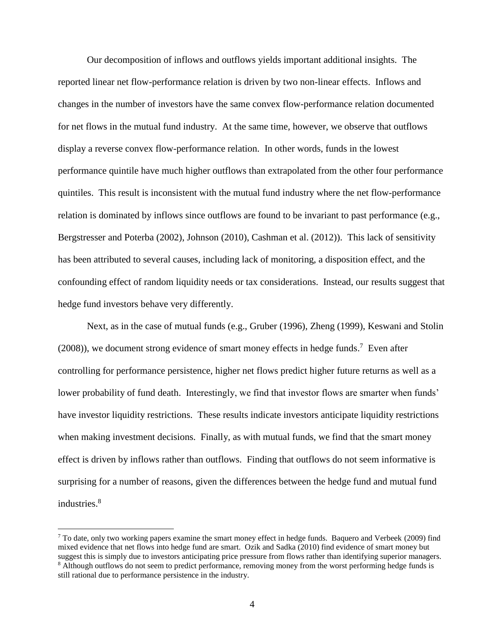Our decomposition of inflows and outflows yields important additional insights. The reported linear net flow-performance relation is driven by two non-linear effects. Inflows and changes in the number of investors have the same convex flow-performance relation documented for net flows in the mutual fund industry. At the same time, however, we observe that outflows display a reverse convex flow-performance relation. In other words, funds in the lowest performance quintile have much higher outflows than extrapolated from the other four performance quintiles. This result is inconsistent with the mutual fund industry where the net flow-performance relation is dominated by inflows since outflows are found to be invariant to past performance (e.g., Bergstresser and Poterba (2002), Johnson (2010), Cashman et al. (2012)). This lack of sensitivity has been attributed to several causes, including lack of monitoring, a disposition effect, and the confounding effect of random liquidity needs or tax considerations. Instead, our results suggest that hedge fund investors behave very differently.

Next, as in the case of mutual funds (e.g., Gruber (1996), Zheng (1999), Keswani and Stolin  $(2008)$ , we document strong evidence of smart money effects in hedge funds.<sup>7</sup> Even after controlling for performance persistence, higher net flows predict higher future returns as well as a lower probability of fund death. Interestingly, we find that investor flows are smarter when funds' have investor liquidity restrictions. These results indicate investors anticipate liquidity restrictions when making investment decisions. Finally, as with mutual funds, we find that the smart money effect is driven by inflows rather than outflows. Finding that outflows do not seem informative is surprising for a number of reasons, given the differences between the hedge fund and mutual fund industries. 8

 $7$  To date, only two working papers examine the smart money effect in hedge funds. Baquero and Verbeek (2009) find mixed evidence that net flows into hedge fund are smart. Ozik and Sadka (2010) find evidence of smart money but suggest this is simply due to investors anticipating price pressure from flows rather than identifying superior managers. <sup>8</sup> Although outflows do not seem to predict performance, removing money from the worst performing hedge funds is still rational due to performance persistence in the industry.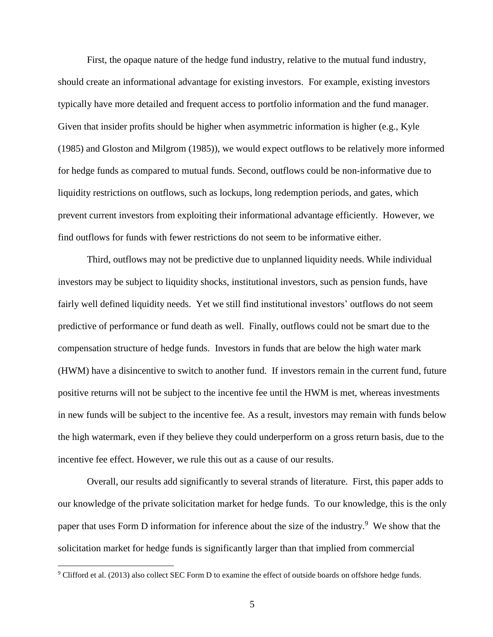First, the opaque nature of the hedge fund industry, relative to the mutual fund industry, should create an informational advantage for existing investors. For example, existing investors typically have more detailed and frequent access to portfolio information and the fund manager. Given that insider profits should be higher when asymmetric information is higher (e.g., Kyle (1985) and Gloston and Milgrom (1985)), we would expect outflows to be relatively more informed for hedge funds as compared to mutual funds. Second, outflows could be non-informative due to liquidity restrictions on outflows, such as lockups, long redemption periods, and gates, which prevent current investors from exploiting their informational advantage efficiently. However, we find outflows for funds with fewer restrictions do not seem to be informative either.

Third, outflows may not be predictive due to unplanned liquidity needs. While individual investors may be subject to liquidity shocks, institutional investors, such as pension funds, have fairly well defined liquidity needs. Yet we still find institutional investors' outflows do not seem predictive of performance or fund death as well. Finally, outflows could not be smart due to the compensation structure of hedge funds. Investors in funds that are below the high water mark (HWM) have a disincentive to switch to another fund. If investors remain in the current fund, future positive returns will not be subject to the incentive fee until the HWM is met, whereas investments in new funds will be subject to the incentive fee. As a result, investors may remain with funds below the high watermark, even if they believe they could underperform on a gross return basis, due to the incentive fee effect. However, we rule this out as a cause of our results.

Overall, our results add significantly to several strands of literature. First, this paper adds to our knowledge of the private solicitation market for hedge funds. To our knowledge, this is the only paper that uses Form D information for inference about the size of the industry.<sup>9</sup> We show that the solicitation market for hedge funds is significantly larger than that implied from commercial

<sup>&</sup>lt;sup>9</sup> Clifford et al. (2013) also collect SEC Form D to examine the effect of outside boards on offshore hedge funds.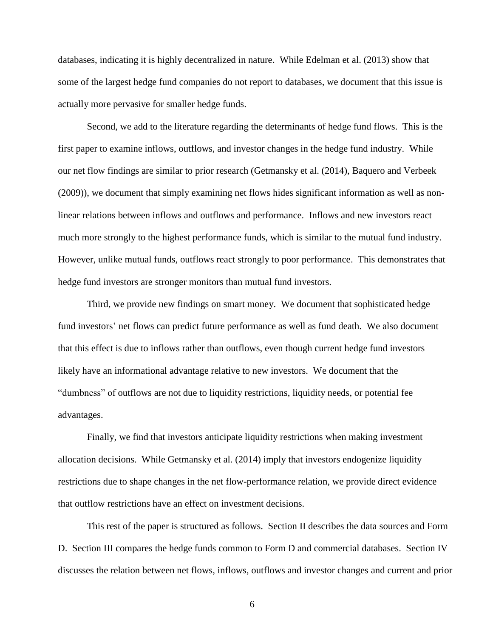databases, indicating it is highly decentralized in nature. While Edelman et al. (2013) show that some of the largest hedge fund companies do not report to databases, we document that this issue is actually more pervasive for smaller hedge funds.

Second, we add to the literature regarding the determinants of hedge fund flows. This is the first paper to examine inflows, outflows, and investor changes in the hedge fund industry. While our net flow findings are similar to prior research (Getmansky et al. (2014), Baquero and Verbeek (2009)), we document that simply examining net flows hides significant information as well as nonlinear relations between inflows and outflows and performance. Inflows and new investors react much more strongly to the highest performance funds, which is similar to the mutual fund industry. However, unlike mutual funds, outflows react strongly to poor performance. This demonstrates that hedge fund investors are stronger monitors than mutual fund investors.

Third, we provide new findings on smart money. We document that sophisticated hedge fund investors' net flows can predict future performance as well as fund death. We also document that this effect is due to inflows rather than outflows, even though current hedge fund investors likely have an informational advantage relative to new investors. We document that the "dumbness" of outflows are not due to liquidity restrictions, liquidity needs, or potential fee advantages.

Finally, we find that investors anticipate liquidity restrictions when making investment allocation decisions. While Getmansky et al. (2014) imply that investors endogenize liquidity restrictions due to shape changes in the net flow-performance relation, we provide direct evidence that outflow restrictions have an effect on investment decisions.

This rest of the paper is structured as follows. Section II describes the data sources and Form D. Section III compares the hedge funds common to Form D and commercial databases. Section IV discusses the relation between net flows, inflows, outflows and investor changes and current and prior

6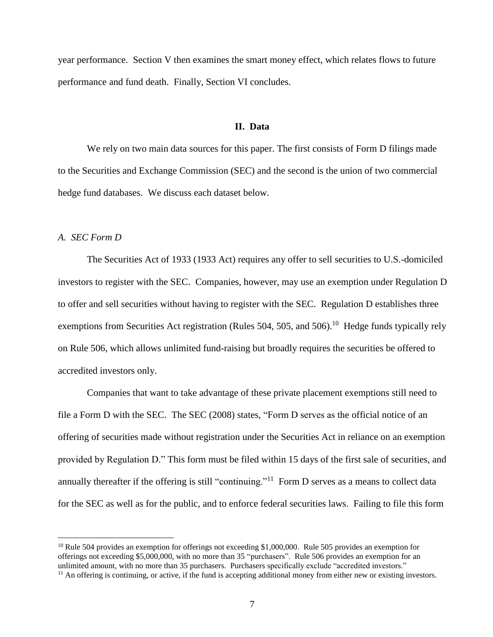year performance. Section V then examines the smart money effect, which relates flows to future performance and fund death. Finally, Section VI concludes.

#### **II. Data**

We rely on two main data sources for this paper. The first consists of Form D filings made to the Securities and Exchange Commission (SEC) and the second is the union of two commercial hedge fund databases. We discuss each dataset below.

## *A. SEC Form D*

 $\overline{a}$ 

The Securities Act of 1933 (1933 Act) requires any offer to sell securities to U.S.-domiciled investors to register with the SEC. Companies, however, may use an exemption under Regulation D to offer and sell securities without having to register with the SEC. Regulation D establishes three exemptions from Securities Act registration (Rules 504, 505, and 506).<sup>10</sup> Hedge funds typically rely on Rule 506, which allows unlimited fund-raising but broadly requires the securities be offered to accredited investors only.

Companies that want to take advantage of these private placement exemptions still need to file a Form D with the SEC. The SEC (2008) states, "Form D serves as the official notice of an offering of securities made without registration under the Securities Act in reliance on an exemption provided by Regulation D." This form must be filed within 15 days of the first sale of securities, and annually thereafter if the offering is still "continuing."<sup>11</sup> Form D serves as a means to collect data for the SEC as well as for the public, and to enforce federal securities laws. Failing to file this form

<sup>&</sup>lt;sup>10</sup> Rule 504 provides an exemption for offerings not exceeding \$1,000,000. Rule 505 provides an exemption for offerings not exceeding \$5,000,000, with no more than 35 "purchasers". Rule 506 provides an exemption for an unlimited amount, with no more than 35 purchasers. Purchasers specifically exclude "accredited investors."

 $<sup>11</sup>$  An offering is continuing, or active, if the fund is accepting additional money from either new or existing investors.</sup>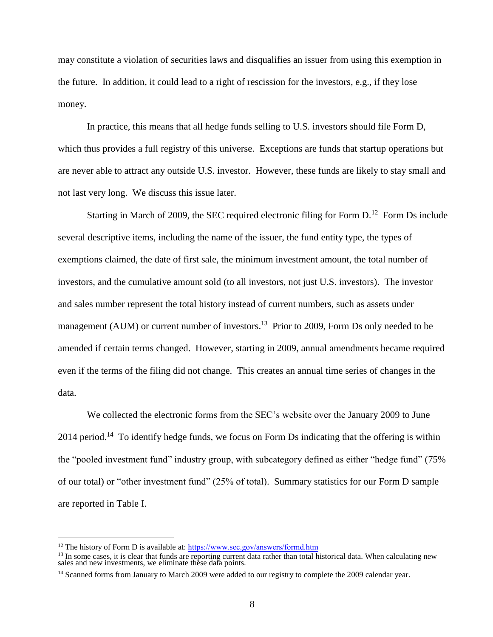may constitute a violation of securities laws and disqualifies an issuer from using this exemption in the future. In addition, it could lead to a right of rescission for the investors, e.g., if they lose money.

In practice, this means that all hedge funds selling to U.S. investors should file Form D, which thus provides a full registry of this universe. Exceptions are funds that startup operations but are never able to attract any outside U.S. investor. However, these funds are likely to stay small and not last very long. We discuss this issue later.

Starting in March of 2009, the SEC required electronic filing for Form  $D<sup>12</sup>$  Form Ds include several descriptive items, including the name of the issuer, the fund entity type, the types of exemptions claimed, the date of first sale, the minimum investment amount, the total number of investors, and the cumulative amount sold (to all investors, not just U.S. investors). The investor and sales number represent the total history instead of current numbers, such as assets under management (AUM) or current number of investors.<sup>13</sup> Prior to 2009, Form Ds only needed to be amended if certain terms changed. However, starting in 2009, annual amendments became required even if the terms of the filing did not change. This creates an annual time series of changes in the data.

We collected the electronic forms from the SEC's website over the January 2009 to June 2014 period.<sup>14</sup> To identify hedge funds, we focus on Form Ds indicating that the offering is within the "pooled investment fund" industry group, with subcategory defined as either "hedge fund" (75% of our total) or "other investment fund" (25% of total). Summary statistics for our Form D sample are reported in Table I.

<sup>&</sup>lt;sup>12</sup> The history of Form D is available at: https://www.sec.gov/answers/formd.htm

 $13$  In some cases, it is clear that funds are reporting current data rather than total historical data. When calculating new sales and new investments, we eliminate these data points.

<sup>&</sup>lt;sup>14</sup> Scanned forms from January to March 2009 were added to our registry to complete the 2009 calendar year.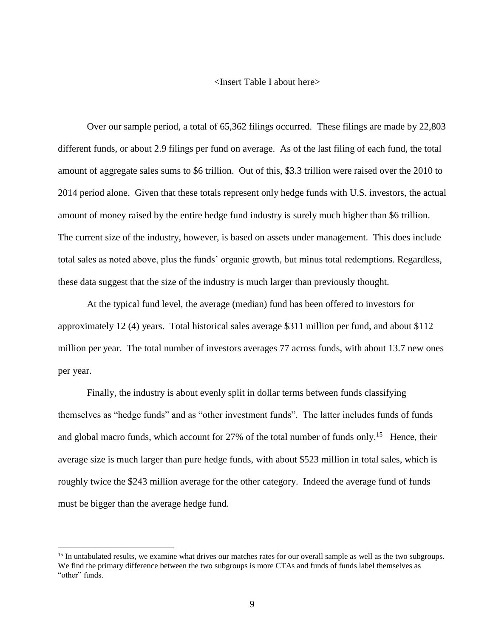## <Insert Table I about here>

Over our sample period, a total of 65,362 filings occurred. These filings are made by 22,803 different funds, or about 2.9 filings per fund on average. As of the last filing of each fund, the total amount of aggregate sales sums to \$6 trillion. Out of this, \$3.3 trillion were raised over the 2010 to 2014 period alone. Given that these totals represent only hedge funds with U.S. investors, the actual amount of money raised by the entire hedge fund industry is surely much higher than \$6 trillion. The current size of the industry, however, is based on assets under management. This does include total sales as noted above, plus the funds' organic growth, but minus total redemptions. Regardless, these data suggest that the size of the industry is much larger than previously thought.

At the typical fund level, the average (median) fund has been offered to investors for approximately 12 (4) years. Total historical sales average \$311 million per fund, and about \$112 million per year. The total number of investors averages 77 across funds, with about 13.7 new ones per year.

Finally, the industry is about evenly split in dollar terms between funds classifying themselves as "hedge funds" and as "other investment funds". The latter includes funds of funds and global macro funds, which account for 27% of the total number of funds only.<sup>15</sup> Hence, their average size is much larger than pure hedge funds, with about \$523 million in total sales, which is roughly twice the \$243 million average for the other category. Indeed the average fund of funds must be bigger than the average hedge fund.

<sup>&</sup>lt;sup>15</sup> In untabulated results, we examine what drives our matches rates for our overall sample as well as the two subgroups. We find the primary difference between the two subgroups is more CTAs and funds of funds label themselves as "other" funds.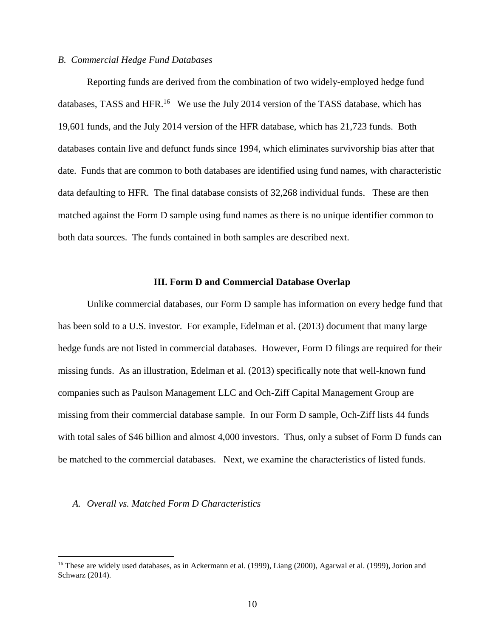# *B. Commercial Hedge Fund Databases*

Reporting funds are derived from the combination of two widely-employed hedge fund databases, TASS and HFR.<sup>16</sup> We use the July 2014 version of the TASS database, which has 19,601 funds, and the July 2014 version of the HFR database, which has 21,723 funds. Both databases contain live and defunct funds since 1994, which eliminates survivorship bias after that date. Funds that are common to both databases are identified using fund names, with characteristic data defaulting to HFR. The final database consists of 32,268 individual funds. These are then matched against the Form D sample using fund names as there is no unique identifier common to both data sources. The funds contained in both samples are described next.

#### **III. Form D and Commercial Database Overlap**

Unlike commercial databases, our Form D sample has information on every hedge fund that has been sold to a U.S. investor. For example, Edelman et al. (2013) document that many large hedge funds are not listed in commercial databases. However, Form D filings are required for their missing funds. As an illustration, Edelman et al. (2013) specifically note that well-known fund companies such as Paulson Management LLC and Och-Ziff Capital Management Group are missing from their commercial database sample. In our Form D sample, Och-Ziff lists 44 funds with total sales of \$46 billion and almost 4,000 investors. Thus, only a subset of Form D funds can be matched to the commercial databases. Next, we examine the characteristics of listed funds.

# *A. Overall vs. Matched Form D Characteristics*

<sup>&</sup>lt;sup>16</sup> These are widely used databases, as in Ackermann et al. (1999), Liang (2000), Agarwal et al. (1999), Jorion and Schwarz (2014).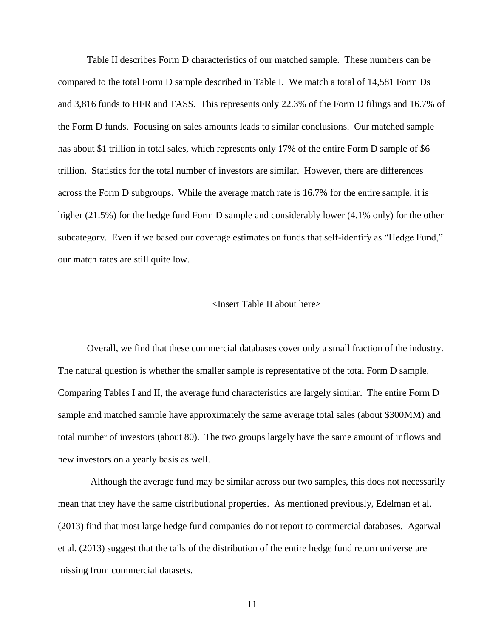Table II describes Form D characteristics of our matched sample. These numbers can be compared to the total Form D sample described in Table I. We match a total of 14,581 Form Ds and 3,816 funds to HFR and TASS. This represents only 22.3% of the Form D filings and 16.7% of the Form D funds. Focusing on sales amounts leads to similar conclusions. Our matched sample has about \$1 trillion in total sales, which represents only 17% of the entire Form D sample of \$6 trillion. Statistics for the total number of investors are similar. However, there are differences across the Form D subgroups. While the average match rate is 16.7% for the entire sample, it is higher (21.5%) for the hedge fund Form D sample and considerably lower (4.1% only) for the other subcategory. Even if we based our coverage estimates on funds that self-identify as "Hedge Fund," our match rates are still quite low.

#### <Insert Table II about here>

Overall, we find that these commercial databases cover only a small fraction of the industry. The natural question is whether the smaller sample is representative of the total Form D sample. Comparing Tables I and II, the average fund characteristics are largely similar. The entire Form D sample and matched sample have approximately the same average total sales (about \$300MM) and total number of investors (about 80). The two groups largely have the same amount of inflows and new investors on a yearly basis as well.

Although the average fund may be similar across our two samples, this does not necessarily mean that they have the same distributional properties. As mentioned previously, Edelman et al. (2013) find that most large hedge fund companies do not report to commercial databases. Agarwal et al. (2013) suggest that the tails of the distribution of the entire hedge fund return universe are missing from commercial datasets.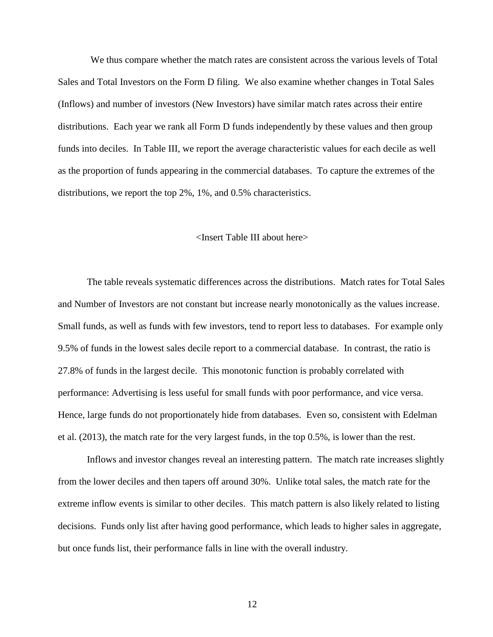We thus compare whether the match rates are consistent across the various levels of Total Sales and Total Investors on the Form D filing. We also examine whether changes in Total Sales (Inflows) and number of investors (New Investors) have similar match rates across their entire distributions. Each year we rank all Form D funds independently by these values and then group funds into deciles. In Table III, we report the average characteristic values for each decile as well as the proportion of funds appearing in the commercial databases. To capture the extremes of the distributions, we report the top 2%, 1%, and 0.5% characteristics.

#### <Insert Table III about here>

The table reveals systematic differences across the distributions. Match rates for Total Sales and Number of Investors are not constant but increase nearly monotonically as the values increase. Small funds, as well as funds with few investors, tend to report less to databases. For example only 9.5% of funds in the lowest sales decile report to a commercial database. In contrast, the ratio is 27.8% of funds in the largest decile. This monotonic function is probably correlated with performance: Advertising is less useful for small funds with poor performance, and vice versa. Hence, large funds do not proportionately hide from databases. Even so, consistent with Edelman et al. (2013), the match rate for the very largest funds, in the top 0.5%, is lower than the rest.

Inflows and investor changes reveal an interesting pattern. The match rate increases slightly from the lower deciles and then tapers off around 30%. Unlike total sales, the match rate for the extreme inflow events is similar to other deciles. This match pattern is also likely related to listing decisions. Funds only list after having good performance, which leads to higher sales in aggregate, but once funds list, their performance falls in line with the overall industry.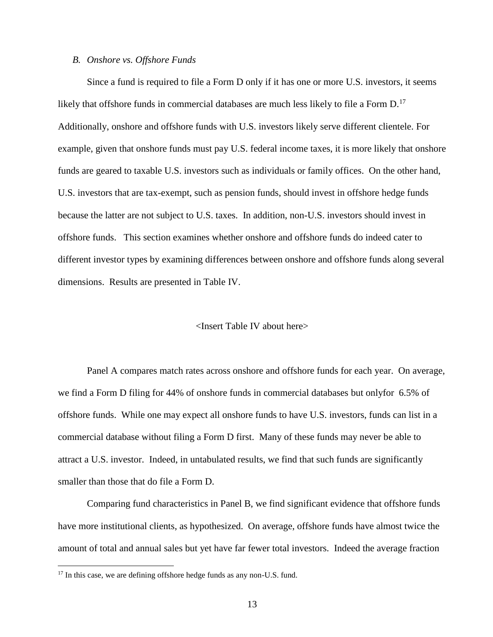#### *B. Onshore vs. Offshore Funds*

Since a fund is required to file a Form D only if it has one or more U.S. investors, it seems likely that offshore funds in commercial databases are much less likely to file a Form D.<sup>17</sup> Additionally, onshore and offshore funds with U.S. investors likely serve different clientele. For example, given that onshore funds must pay U.S. federal income taxes, it is more likely that onshore funds are geared to taxable U.S. investors such as individuals or family offices. On the other hand, U.S. investors that are tax-exempt, such as pension funds, should invest in offshore hedge funds because the latter are not subject to U.S. taxes. In addition, non-U.S. investors should invest in offshore funds. This section examines whether onshore and offshore funds do indeed cater to different investor types by examining differences between onshore and offshore funds along several dimensions. Results are presented in Table IV.

## <Insert Table IV about here>

Panel A compares match rates across onshore and offshore funds for each year. On average, we find a Form D filing for 44% of onshore funds in commercial databases but onlyfor 6.5% of offshore funds. While one may expect all onshore funds to have U.S. investors, funds can list in a commercial database without filing a Form D first. Many of these funds may never be able to attract a U.S. investor. Indeed, in untabulated results, we find that such funds are significantly smaller than those that do file a Form D.

Comparing fund characteristics in Panel B, we find significant evidence that offshore funds have more institutional clients, as hypothesized. On average, offshore funds have almost twice the amount of total and annual sales but yet have far fewer total investors. Indeed the average fraction

<sup>&</sup>lt;sup>17</sup> In this case, we are defining offshore hedge funds as any non-U.S. fund.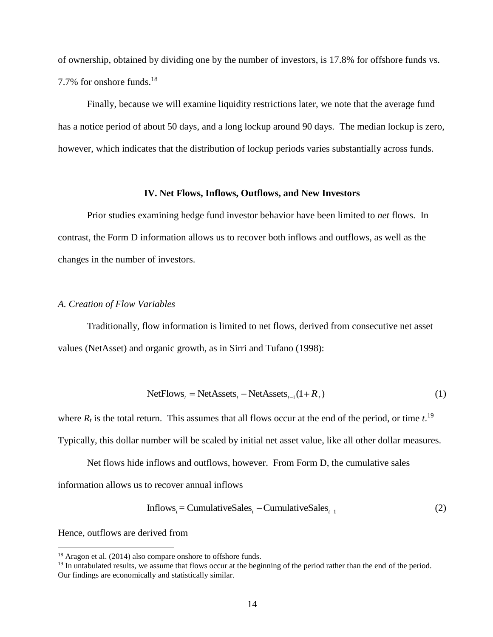of ownership, obtained by dividing one by the number of investors, is 17.8% for offshore funds vs. 7.7% for onshore funds. 18

Finally, because we will examine liquidity restrictions later, we note that the average fund has a notice period of about 50 days, and a long lockup around 90 days. The median lockup is zero, however, which indicates that the distribution of lockup periods varies substantially across funds.

#### **IV. Net Flows, Inflows, Outflows, and New Investors**

Prior studies examining hedge fund investor behavior have been limited to *net* flows. In contrast, the Form D information allows us to recover both inflows and outflows, as well as the changes in the number of investors.

#### *A. Creation of Flow Variables*

Traditionally, flow information is limited to net flows, derived from consecutive net asset values (NetAsset) and organic growth, as in Sirri and Tufano (1998):

NetFlows<sub>t</sub> = NetAssets<sub>t</sub> – NetAssets<sub>t-1</sub>
$$
(1 + R_t)
$$
 (1)

where  $R_t$  is the total return. This assumes that all flows occur at the end of the period, or time  $t$ <sup>19</sup>

Typically, this dollar number will be scaled by initial net asset value, like all other dollar measures.

Net flows hide inflows and outflows, however. From Form D, the cumulative sales

information allows us to recover annual inflows

(2) 1 Inflows = CumulativeSales CumulativeSales *t t t*

Hence, outflows are derived from

<sup>&</sup>lt;sup>18</sup> Aragon et al. (2014) also compare onshore to offshore funds.

<sup>&</sup>lt;sup>19</sup> In untabulated results, we assume that flows occur at the beginning of the period rather than the end of the period. Our findings are economically and statistically similar.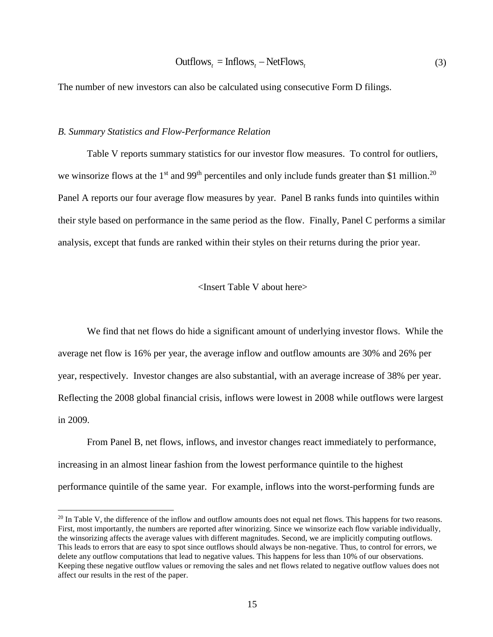$$
Outflows_{t} = Inflows_{t} - NetFlows_{t}
$$
\n(3)

The number of new investors can also be calculated using consecutive Form D filings.

#### *B. Summary Statistics and Flow-Performance Relation*

 $\overline{a}$ 

Table V reports summary statistics for our investor flow measures. To control for outliers, we winsorize flows at the 1<sup>st</sup> and 99<sup>th</sup> percentiles and only include funds greater than \$1 million.<sup>20</sup> Panel A reports our four average flow measures by year. Panel B ranks funds into quintiles within their style based on performance in the same period as the flow. Finally, Panel C performs a similar analysis, except that funds are ranked within their styles on their returns during the prior year.

#### <Insert Table V about here>

We find that net flows do hide a significant amount of underlying investor flows. While the average net flow is 16% per year, the average inflow and outflow amounts are 30% and 26% per year, respectively. Investor changes are also substantial, with an average increase of 38% per year. Reflecting the 2008 global financial crisis, inflows were lowest in 2008 while outflows were largest in 2009.

From Panel B, net flows, inflows, and investor changes react immediately to performance, increasing in an almost linear fashion from the lowest performance quintile to the highest performance quintile of the same year. For example, inflows into the worst-performing funds are

 $20$  In Table V, the difference of the inflow and outflow amounts does not equal net flows. This happens for two reasons. First, most importantly, the numbers are reported after winorizing. Since we winsorize each flow variable individually, the winsorizing affects the average values with different magnitudes. Second, we are implicitly computing outflows. This leads to errors that are easy to spot since outflows should always be non-negative. Thus, to control for errors, we delete any outflow computations that lead to negative values. This happens for less than 10% of our observations. Keeping these negative outflow values or removing the sales and net flows related to negative outflow values does not affect our results in the rest of the paper.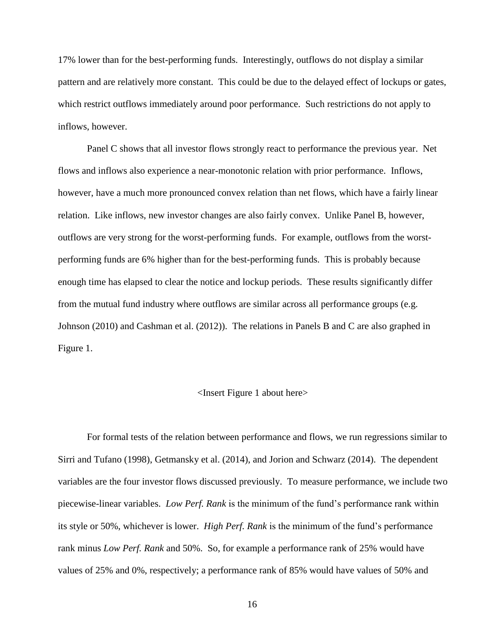17% lower than for the best-performing funds. Interestingly, outflows do not display a similar pattern and are relatively more constant. This could be due to the delayed effect of lockups or gates, which restrict outflows immediately around poor performance. Such restrictions do not apply to inflows, however.

Panel C shows that all investor flows strongly react to performance the previous year. Net flows and inflows also experience a near-monotonic relation with prior performance. Inflows, however, have a much more pronounced convex relation than net flows, which have a fairly linear relation. Like inflows, new investor changes are also fairly convex. Unlike Panel B, however, outflows are very strong for the worst-performing funds. For example, outflows from the worstperforming funds are 6% higher than for the best-performing funds. This is probably because enough time has elapsed to clear the notice and lockup periods. These results significantly differ from the mutual fund industry where outflows are similar across all performance groups (e.g. Johnson (2010) and Cashman et al. (2012)). The relations in Panels B and C are also graphed in Figure 1.

#### <Insert Figure 1 about here>

For formal tests of the relation between performance and flows, we run regressions similar to Sirri and Tufano (1998), Getmansky et al. (2014), and Jorion and Schwarz (2014). The dependent variables are the four investor flows discussed previously. To measure performance, we include two piecewise-linear variables. *Low Perf. Rank* is the minimum of the fund's performance rank within its style or 50%, whichever is lower. *High Perf. Rank* is the minimum of the fund's performance rank minus *Low Perf. Rank* and 50%. So, for example a performance rank of 25% would have values of 25% and 0%, respectively; a performance rank of 85% would have values of 50% and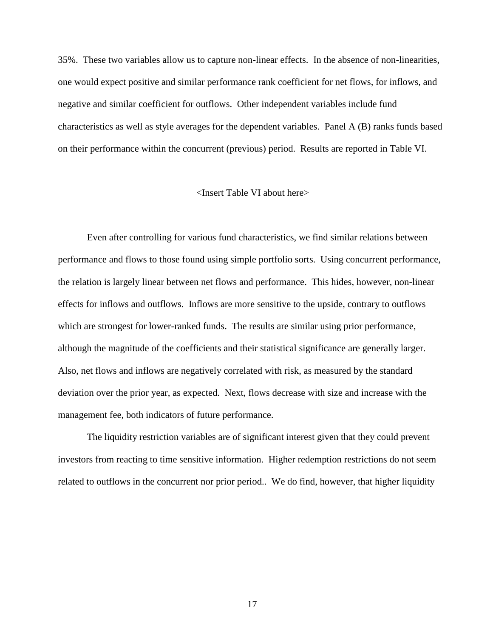35%. These two variables allow us to capture non-linear effects. In the absence of non-linearities, one would expect positive and similar performance rank coefficient for net flows, for inflows, and negative and similar coefficient for outflows. Other independent variables include fund characteristics as well as style averages for the dependent variables. Panel A (B) ranks funds based on their performance within the concurrent (previous) period. Results are reported in Table VI.

#### <Insert Table VI about here>

Even after controlling for various fund characteristics, we find similar relations between performance and flows to those found using simple portfolio sorts. Using concurrent performance, the relation is largely linear between net flows and performance. This hides, however, non-linear effects for inflows and outflows. Inflows are more sensitive to the upside, contrary to outflows which are strongest for lower-ranked funds. The results are similar using prior performance, although the magnitude of the coefficients and their statistical significance are generally larger. Also, net flows and inflows are negatively correlated with risk, as measured by the standard deviation over the prior year, as expected. Next, flows decrease with size and increase with the management fee, both indicators of future performance.

The liquidity restriction variables are of significant interest given that they could prevent investors from reacting to time sensitive information. Higher redemption restrictions do not seem related to outflows in the concurrent nor prior period.. We do find, however, that higher liquidity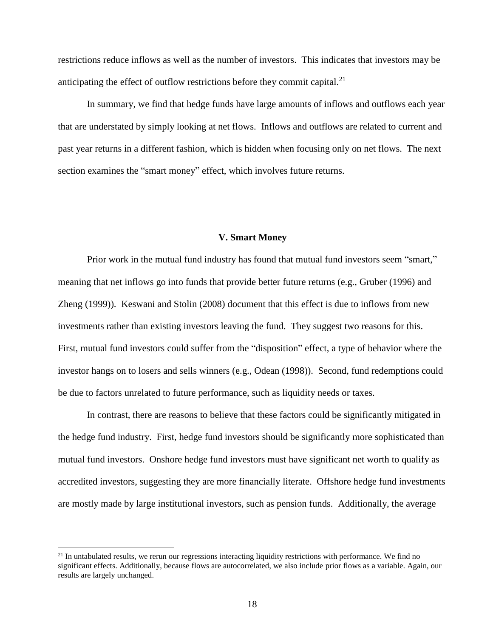restrictions reduce inflows as well as the number of investors. This indicates that investors may be anticipating the effect of outflow restrictions before they commit capital.<sup>21</sup>

In summary, we find that hedge funds have large amounts of inflows and outflows each year that are understated by simply looking at net flows. Inflows and outflows are related to current and past year returns in a different fashion, which is hidden when focusing only on net flows. The next section examines the "smart money" effect, which involves future returns.

#### **V. Smart Money**

Prior work in the mutual fund industry has found that mutual fund investors seem "smart," meaning that net inflows go into funds that provide better future returns (e.g., Gruber (1996) and Zheng (1999)). Keswani and Stolin (2008) document that this effect is due to inflows from new investments rather than existing investors leaving the fund. They suggest two reasons for this. First, mutual fund investors could suffer from the "disposition" effect, a type of behavior where the investor hangs on to losers and sells winners (e.g., Odean (1998)). Second, fund redemptions could be due to factors unrelated to future performance, such as liquidity needs or taxes.

In contrast, there are reasons to believe that these factors could be significantly mitigated in the hedge fund industry. First, hedge fund investors should be significantly more sophisticated than mutual fund investors. Onshore hedge fund investors must have significant net worth to qualify as accredited investors, suggesting they are more financially literate. Offshore hedge fund investments are mostly made by large institutional investors, such as pension funds. Additionally, the average

<sup>&</sup>lt;sup>21</sup> In untabulated results, we rerun our regressions interacting liquidity restrictions with performance. We find no significant effects. Additionally, because flows are autocorrelated, we also include prior flows as a variable. Again, our results are largely unchanged.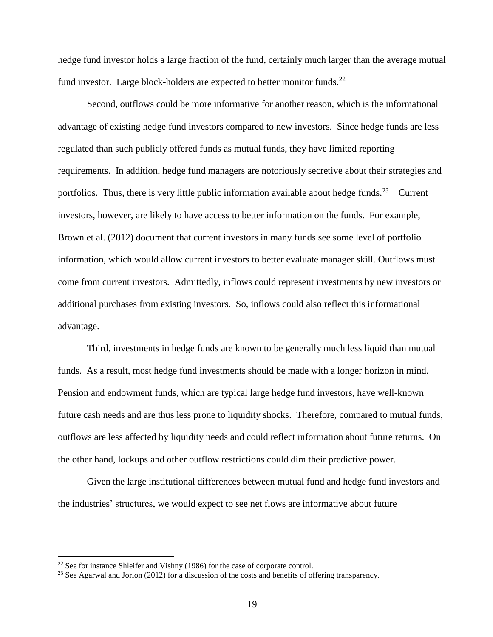hedge fund investor holds a large fraction of the fund, certainly much larger than the average mutual fund investor. Large block-holders are expected to better monitor funds. $^{22}$ 

Second, outflows could be more informative for another reason, which is the informational advantage of existing hedge fund investors compared to new investors. Since hedge funds are less regulated than such publicly offered funds as mutual funds, they have limited reporting requirements. In addition, hedge fund managers are notoriously secretive about their strategies and portfolios. Thus, there is very little public information available about hedge funds.<sup>23</sup> Current investors, however, are likely to have access to better information on the funds. For example, Brown et al. (2012) document that current investors in many funds see some level of portfolio information, which would allow current investors to better evaluate manager skill. Outflows must come from current investors. Admittedly, inflows could represent investments by new investors or additional purchases from existing investors. So, inflows could also reflect this informational advantage.

Third, investments in hedge funds are known to be generally much less liquid than mutual funds. As a result, most hedge fund investments should be made with a longer horizon in mind. Pension and endowment funds, which are typical large hedge fund investors, have well-known future cash needs and are thus less prone to liquidity shocks. Therefore, compared to mutual funds, outflows are less affected by liquidity needs and could reflect information about future returns. On the other hand, lockups and other outflow restrictions could dim their predictive power.

Given the large institutional differences between mutual fund and hedge fund investors and the industries' structures, we would expect to see net flows are informative about future

<sup>&</sup>lt;sup>22</sup> See for instance Shleifer and Vishny (1986) for the case of corporate control.

<sup>&</sup>lt;sup>23</sup> See Agarwal and Jorion (2012) for a discussion of the costs and benefits of offering transparency.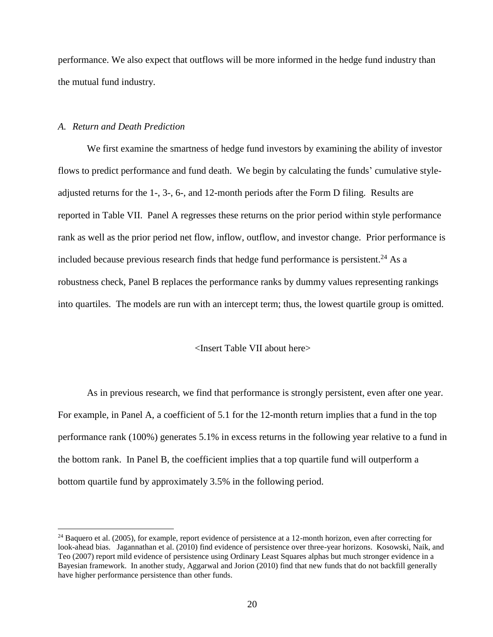performance. We also expect that outflows will be more informed in the hedge fund industry than the mutual fund industry.

## *A. Return and Death Prediction*

 $\overline{a}$ 

We first examine the smartness of hedge fund investors by examining the ability of investor flows to predict performance and fund death. We begin by calculating the funds' cumulative styleadjusted returns for the 1-, 3-, 6-, and 12-month periods after the Form D filing. Results are reported in Table VII. Panel A regresses these returns on the prior period within style performance rank as well as the prior period net flow, inflow, outflow, and investor change. Prior performance is included because previous research finds that hedge fund performance is persistent.<sup>24</sup> As a robustness check, Panel B replaces the performance ranks by dummy values representing rankings into quartiles. The models are run with an intercept term; thus, the lowest quartile group is omitted.

#### <Insert Table VII about here>

As in previous research, we find that performance is strongly persistent, even after one year. For example, in Panel A, a coefficient of 5.1 for the 12-month return implies that a fund in the top performance rank (100%) generates 5.1% in excess returns in the following year relative to a fund in the bottom rank. In Panel B, the coefficient implies that a top quartile fund will outperform a bottom quartile fund by approximately 3.5% in the following period.

 $24$  Baquero et al. (2005), for example, report evidence of persistence at a 12-month horizon, even after correcting for look-ahead bias. Jagannathan et al. (2010) find evidence of persistence over three-year horizons. Kosowski, Naik, and Teo (2007) report mild evidence of persistence using Ordinary Least Squares alphas but much stronger evidence in a Bayesian framework. In another study, Aggarwal and Jorion (2010) find that new funds that do not backfill generally have higher performance persistence than other funds.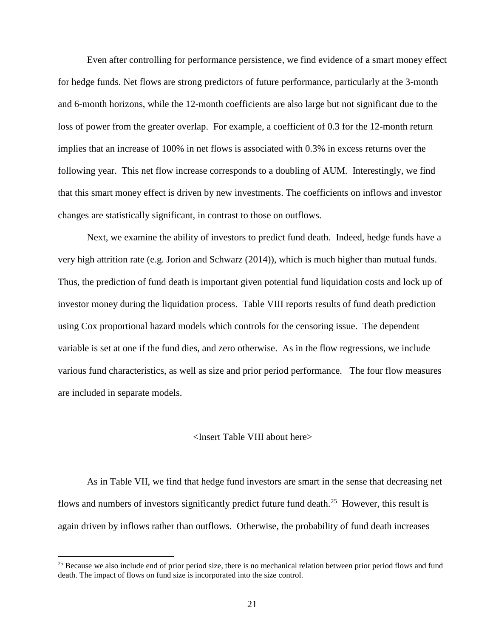Even after controlling for performance persistence, we find evidence of a smart money effect for hedge funds. Net flows are strong predictors of future performance, particularly at the 3-month and 6-month horizons, while the 12-month coefficients are also large but not significant due to the loss of power from the greater overlap. For example, a coefficient of 0.3 for the 12-month return implies that an increase of 100% in net flows is associated with 0.3% in excess returns over the following year. This net flow increase corresponds to a doubling of AUM. Interestingly, we find that this smart money effect is driven by new investments. The coefficients on inflows and investor changes are statistically significant, in contrast to those on outflows.

Next, we examine the ability of investors to predict fund death. Indeed, hedge funds have a very high attrition rate (e.g. Jorion and Schwarz (2014)), which is much higher than mutual funds. Thus, the prediction of fund death is important given potential fund liquidation costs and lock up of investor money during the liquidation process. Table VIII reports results of fund death prediction using Cox proportional hazard models which controls for the censoring issue. The dependent variable is set at one if the fund dies, and zero otherwise. As in the flow regressions, we include various fund characteristics, as well as size and prior period performance. The four flow measures are included in separate models.

#### <Insert Table VIII about here>

As in Table VII, we find that hedge fund investors are smart in the sense that decreasing net flows and numbers of investors significantly predict future fund death.<sup>25</sup> However, this result is again driven by inflows rather than outflows. Otherwise, the probability of fund death increases

<sup>&</sup>lt;sup>25</sup> Because we also include end of prior period size, there is no mechanical relation between prior period flows and fund death. The impact of flows on fund size is incorporated into the size control.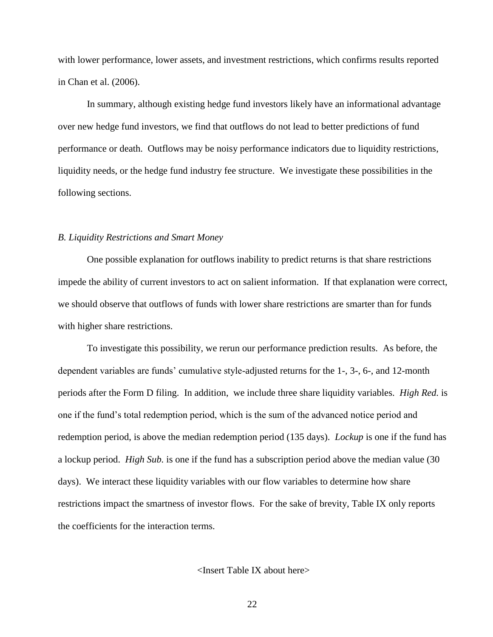with lower performance, lower assets, and investment restrictions, which confirms results reported in Chan et al. (2006).

In summary, although existing hedge fund investors likely have an informational advantage over new hedge fund investors, we find that outflows do not lead to better predictions of fund performance or death. Outflows may be noisy performance indicators due to liquidity restrictions, liquidity needs, or the hedge fund industry fee structure. We investigate these possibilities in the following sections.

#### *B. Liquidity Restrictions and Smart Money*

One possible explanation for outflows inability to predict returns is that share restrictions impede the ability of current investors to act on salient information. If that explanation were correct, we should observe that outflows of funds with lower share restrictions are smarter than for funds with higher share restrictions.

To investigate this possibility, we rerun our performance prediction results. As before, the dependent variables are funds' cumulative style-adjusted returns for the 1-, 3-, 6-, and 12-month periods after the Form D filing. In addition, we include three share liquidity variables. *High Red.* is one if the fund's total redemption period, which is the sum of the advanced notice period and redemption period, is above the median redemption period (135 days). *Lockup* is one if the fund has a lockup period. *High Sub.* is one if the fund has a subscription period above the median value (30 days). We interact these liquidity variables with our flow variables to determine how share restrictions impact the smartness of investor flows. For the sake of brevity, Table IX only reports the coefficients for the interaction terms.

<Insert Table IX about here>

22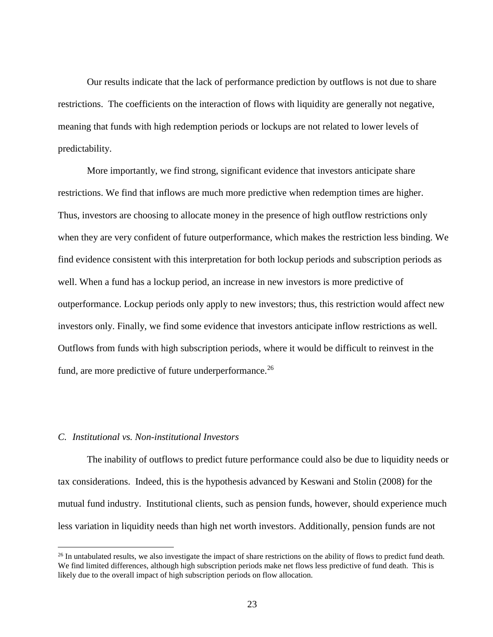Our results indicate that the lack of performance prediction by outflows is not due to share restrictions. The coefficients on the interaction of flows with liquidity are generally not negative, meaning that funds with high redemption periods or lockups are not related to lower levels of predictability.

More importantly, we find strong, significant evidence that investors anticipate share restrictions. We find that inflows are much more predictive when redemption times are higher. Thus, investors are choosing to allocate money in the presence of high outflow restrictions only when they are very confident of future outperformance, which makes the restriction less binding. We find evidence consistent with this interpretation for both lockup periods and subscription periods as well. When a fund has a lockup period, an increase in new investors is more predictive of outperformance. Lockup periods only apply to new investors; thus, this restriction would affect new investors only. Finally, we find some evidence that investors anticipate inflow restrictions as well. Outflows from funds with high subscription periods, where it would be difficult to reinvest in the fund, are more predictive of future underperformance.<sup>26</sup>

## *C. Institutional vs. Non-institutional Investors*

 $\overline{a}$ 

The inability of outflows to predict future performance could also be due to liquidity needs or tax considerations. Indeed, this is the hypothesis advanced by Keswani and Stolin (2008) for the mutual fund industry. Institutional clients, such as pension funds, however, should experience much less variation in liquidity needs than high net worth investors. Additionally, pension funds are not

<sup>&</sup>lt;sup>26</sup> In untabulated results, we also investigate the impact of share restrictions on the ability of flows to predict fund death. We find limited differences, although high subscription periods make net flows less predictive of fund death. This is likely due to the overall impact of high subscription periods on flow allocation.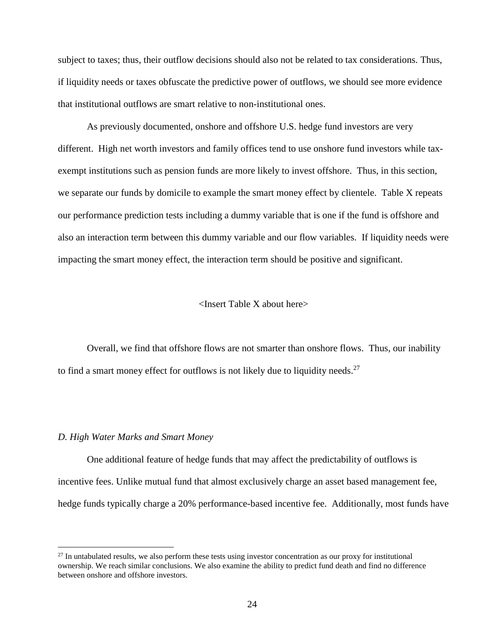subject to taxes; thus, their outflow decisions should also not be related to tax considerations. Thus, if liquidity needs or taxes obfuscate the predictive power of outflows, we should see more evidence that institutional outflows are smart relative to non-institutional ones.

As previously documented, onshore and offshore U.S. hedge fund investors are very different. High net worth investors and family offices tend to use onshore fund investors while taxexempt institutions such as pension funds are more likely to invest offshore. Thus, in this section, we separate our funds by domicile to example the smart money effect by clientele. Table X repeats our performance prediction tests including a dummy variable that is one if the fund is offshore and also an interaction term between this dummy variable and our flow variables. If liquidity needs were impacting the smart money effect, the interaction term should be positive and significant.

#### <Insert Table X about here>

Overall, we find that offshore flows are not smarter than onshore flows. Thus, our inability to find a smart money effect for outflows is not likely due to liquidity needs.<sup>27</sup>

## *D. High Water Marks and Smart Money*

 $\overline{a}$ 

One additional feature of hedge funds that may affect the predictability of outflows is incentive fees. Unlike mutual fund that almost exclusively charge an asset based management fee, hedge funds typically charge a 20% performance-based incentive fee. Additionally, most funds have

 $27$  In untabulated results, we also perform these tests using investor concentration as our proxy for institutional ownership. We reach similar conclusions. We also examine the ability to predict fund death and find no difference between onshore and offshore investors.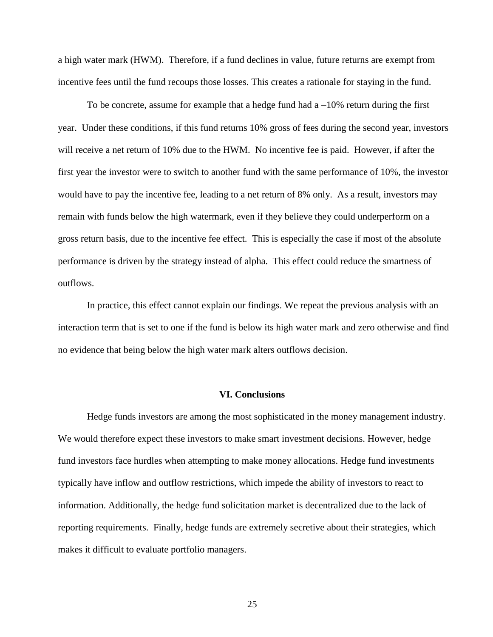a high water mark (HWM). Therefore, if a fund declines in value, future returns are exempt from incentive fees until the fund recoups those losses. This creates a rationale for staying in the fund.

To be concrete, assume for example that a hedge fund had  $a - 10\%$  return during the first year. Under these conditions, if this fund returns 10% gross of fees during the second year, investors will receive a net return of 10% due to the HWM. No incentive fee is paid. However, if after the first year the investor were to switch to another fund with the same performance of 10%, the investor would have to pay the incentive fee, leading to a net return of 8% only. As a result, investors may remain with funds below the high watermark, even if they believe they could underperform on a gross return basis, due to the incentive fee effect. This is especially the case if most of the absolute performance is driven by the strategy instead of alpha. This effect could reduce the smartness of outflows.

In practice, this effect cannot explain our findings. We repeat the previous analysis with an interaction term that is set to one if the fund is below its high water mark and zero otherwise and find no evidence that being below the high water mark alters outflows decision.

# **VI. Conclusions**

Hedge funds investors are among the most sophisticated in the money management industry. We would therefore expect these investors to make smart investment decisions. However, hedge fund investors face hurdles when attempting to make money allocations. Hedge fund investments typically have inflow and outflow restrictions, which impede the ability of investors to react to information. Additionally, the hedge fund solicitation market is decentralized due to the lack of reporting requirements. Finally, hedge funds are extremely secretive about their strategies, which makes it difficult to evaluate portfolio managers.

25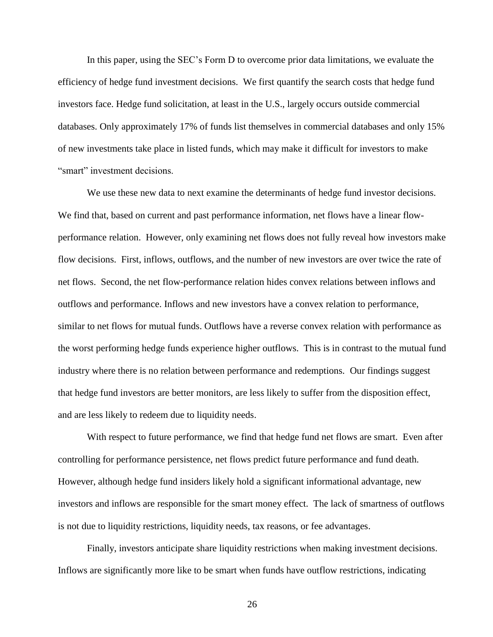In this paper, using the SEC's Form D to overcome prior data limitations, we evaluate the efficiency of hedge fund investment decisions. We first quantify the search costs that hedge fund investors face. Hedge fund solicitation, at least in the U.S., largely occurs outside commercial databases. Only approximately 17% of funds list themselves in commercial databases and only 15% of new investments take place in listed funds, which may make it difficult for investors to make "smart" investment decisions.

We use these new data to next examine the determinants of hedge fund investor decisions. We find that, based on current and past performance information, net flows have a linear flowperformance relation. However, only examining net flows does not fully reveal how investors make flow decisions. First, inflows, outflows, and the number of new investors are over twice the rate of net flows. Second, the net flow-performance relation hides convex relations between inflows and outflows and performance. Inflows and new investors have a convex relation to performance, similar to net flows for mutual funds. Outflows have a reverse convex relation with performance as the worst performing hedge funds experience higher outflows. This is in contrast to the mutual fund industry where there is no relation between performance and redemptions. Our findings suggest that hedge fund investors are better monitors, are less likely to suffer from the disposition effect, and are less likely to redeem due to liquidity needs.

With respect to future performance, we find that hedge fund net flows are smart. Even after controlling for performance persistence, net flows predict future performance and fund death. However, although hedge fund insiders likely hold a significant informational advantage, new investors and inflows are responsible for the smart money effect. The lack of smartness of outflows is not due to liquidity restrictions, liquidity needs, tax reasons, or fee advantages.

Finally, investors anticipate share liquidity restrictions when making investment decisions. Inflows are significantly more like to be smart when funds have outflow restrictions, indicating

26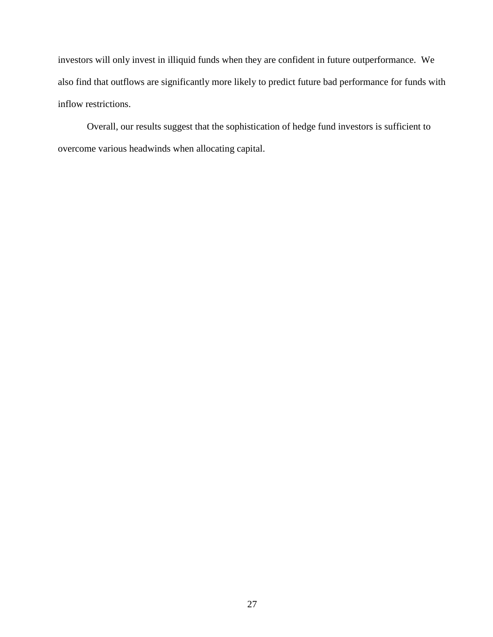investors will only invest in illiquid funds when they are confident in future outperformance. We also find that outflows are significantly more likely to predict future bad performance for funds with inflow restrictions.

Overall, our results suggest that the sophistication of hedge fund investors is sufficient to overcome various headwinds when allocating capital.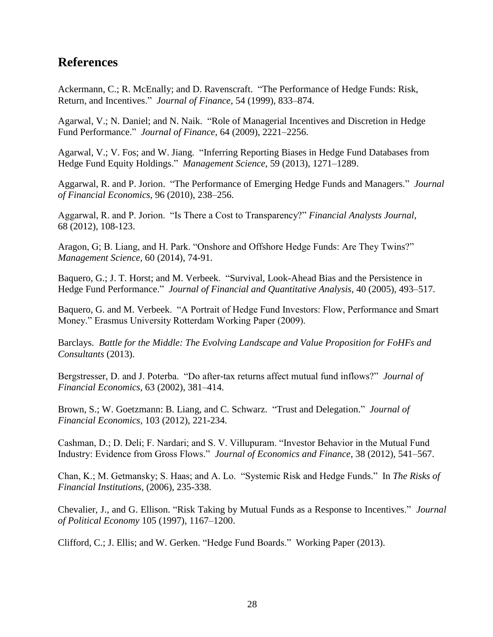# **References**

Ackermann, C.; R. McEnally; and D. Ravenscraft. "The Performance of Hedge Funds: Risk, Return, and Incentives." *Journal of Finance*, 54 (1999), 833–874.

Agarwal, V.; N. Daniel; and N. Naik. "Role of Managerial Incentives and Discretion in Hedge Fund Performance." *Journal of Finance*, 64 (2009), 2221–2256.

Agarwal, V.; V. Fos; and W. Jiang. "Inferring Reporting Biases in Hedge Fund Databases from Hedge Fund Equity Holdings." *Management Science*, 59 (2013), 1271–1289.

Aggarwal, R. and P. Jorion. "The Performance of Emerging Hedge Funds and Managers." *Journal of Financial Economics*, 96 (2010), 238–256.

Aggarwal, R. and P. Jorion. "Is There a Cost to Transparency?" *Financial Analysts Journal,* 68 (2012), 108-123.

Aragon, G; B. Liang, and H. Park. "Onshore and Offshore Hedge Funds: Are They Twins?" *Management Science,* 60 (2014), 74-91.

Baquero, G.; J. T. Horst; and M. Verbeek. "Survival, Look-Ahead Bias and the Persistence in Hedge Fund Performance." *Journal of Financial and Quantitative Analysis*, 40 (2005), 493–517.

Baquero, G. and M. Verbeek. "A Portrait of Hedge Fund Investors: Flow, Performance and Smart Money." Erasmus University Rotterdam Working Paper (2009).

Barclays. *Battle for the Middle: The Evolving Landscape and Value Proposition for FoHFs and Consultants* (2013).

Bergstresser, D. and J. Poterba. "Do after-tax returns affect mutual fund inflows?" *Journal of Financial Economics,* 63 (2002), 381–414.

Brown, S.; W. Goetzmann: B. Liang, and C. Schwarz. "Trust and Delegation." *Journal of Financial Economics,* 103 (2012), 221-234.

Cashman, D.; D. Deli; F. Nardari; and S. V. Villupuram. "Investor Behavior in the Mutual Fund Industry: Evidence from Gross Flows." *Journal of Economics and Finance*, 38 (2012), 541–567.

Chan, K.; M. Getmansky; S. Haas; and A. Lo. "Systemic Risk and Hedge Funds." In *The Risks of Financial Institutions*, (2006), 235-338.

Chevalier, J., and G. Ellison. "Risk Taking by Mutual Funds as a Response to Incentives." *Journal of Political Economy* 105 (1997), 1167–1200.

Clifford, C.; J. Ellis; and W. Gerken. "Hedge Fund Boards." Working Paper (2013).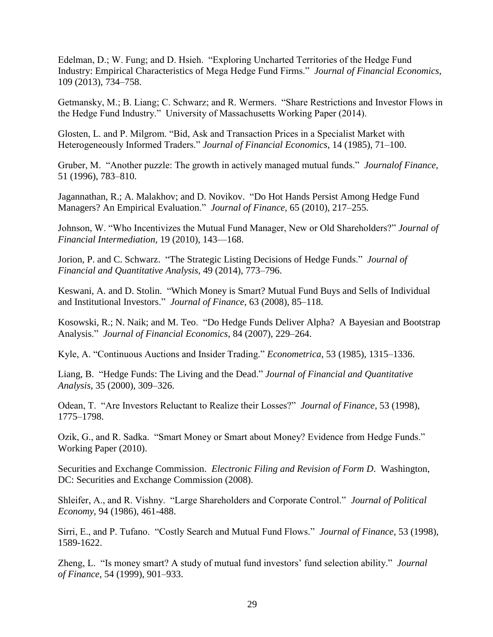Edelman, D.; W. Fung; and D. Hsieh. "Exploring Uncharted Territories of the Hedge Fund Industry: Empirical Characteristics of Mega Hedge Fund Firms." *Journal of Financial Economics*, 109 (2013), 734–758.

Getmansky, M.; B. Liang; C. Schwarz; and R. Wermers. "Share Restrictions and Investor Flows in the Hedge Fund Industry." University of Massachusetts Working Paper (2014).

Glosten, L. and P. Milgrom. "Bid, Ask and Transaction Prices in a Specialist Market with Heterogeneously Informed Traders." *Journal of Financial Economics*, 14 (1985), 71–100.

Gruber, M. "Another puzzle: The growth in actively managed mutual funds." *Journalof Finance,* 51 (1996), 783–810.

Jagannathan, R.; A. Malakhov; and D. Novikov. "Do Hot Hands Persist Among Hedge Fund Managers? An Empirical Evaluation." *Journal of Finance*, 65 (2010), 217–255.

Johnson, W. "Who Incentivizes the Mutual Fund Manager, New or Old Shareholders?" *Journal of Financial Intermediation,* 19 (2010), 143—168.

Jorion, P. and C. Schwarz. "The Strategic Listing Decisions of Hedge Funds." *Journal of Financial and Quantitative Analysis,* 49 (2014), 773–796.

Keswani, A. and D. Stolin. "Which Money is Smart? Mutual Fund Buys and Sells of Individual and Institutional Investors." *Journal of Finance*, 63 (2008), 85–118.

Kosowski, R.; N. Naik; and M. Teo. "Do Hedge Funds Deliver Alpha? A Bayesian and Bootstrap Analysis." *Journal of Financial Economics*, 84 (2007), 229–264.

Kyle, A. "Continuous Auctions and Insider Trading." *Econometrica*, 53 (1985), 1315–1336.

Liang, B. "Hedge Funds: The Living and the Dead." *Journal of Financial and Quantitative Analysis*, 35 (2000), 309–326.

Odean, T. "Are Investors Reluctant to Realize their Losses?" *Journal of Finance,* 53 (1998), 1775–1798.

Ozik, G., and R. Sadka. "Smart Money or Smart about Money? Evidence from Hedge Funds." Working Paper (2010).

Securities and Exchange Commission. *Electronic Filing and Revision of Form D*. Washington, DC: Securities and Exchange Commission (2008).

Shleifer, A., and R. Vishny. "Large Shareholders and Corporate Control." *Journal of Political Economy*, 94 (1986), 461-488.

Sirri, E., and P. Tufano. "Costly Search and Mutual Fund Flows." *Journal of Finance*, 53 (1998), 1589-1622.

Zheng, L. "Is money smart? A study of mutual fund investors' fund selection ability." *Journal of Finance,* 54 (1999), 901–933.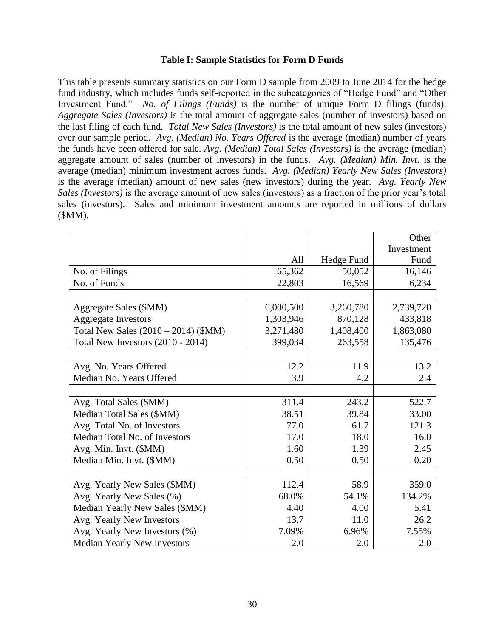# **Table I: Sample Statistics for Form D Funds**

This table presents summary statistics on our Form D sample from 2009 to June 2014 for the hedge fund industry, which includes funds self-reported in the subcategories of "Hedge Fund" and "Other Investment Fund." *No. of Filings (Funds)* is the number of unique Form D filings (funds). *Aggregate Sales (Investors)* is the total amount of aggregate sales (number of investors) based on the last filing of each fund. *Total New Sales (Investors)* is the total amount of new sales (investors) over our sample period. *Avg. (Median) No. Years Offered* is the average (median) number of years the funds have been offered for sale. *Avg. (Median) Total Sales (Investors)* is the average (median) aggregate amount of sales (number of investors) in the funds. *Avg. (Median) Min. Invt.* is the average (median) minimum investment across funds. *Avg. (Median) Yearly New Sales (Investors)* is the average (median) amount of new sales (new investors) during the year. *Avg. Yearly New Sales (Investors)* is the average amount of new sales (investors) as a fraction of the prior year's total sales (investors). Sales and minimum investment amounts are reported in millions of dollars (\$MM).

|                                      |           |            | Other      |
|--------------------------------------|-----------|------------|------------|
|                                      |           |            | Investment |
|                                      | All       | Hedge Fund | Fund       |
| No. of Filings                       | 65,362    | 50,052     | 16,146     |
| No. of Funds                         | 22,803    | 16,569     | 6,234      |
|                                      |           |            |            |
| Aggregate Sales (\$MM)               | 6,000,500 | 3,260,780  | 2,739,720  |
| <b>Aggregate Investors</b>           | 1,303,946 | 870,128    | 433,818    |
| Total New Sales (2010 - 2014) (\$MM) | 3,271,480 | 1,408,400  | 1,863,080  |
| Total New Investors $(2010 - 2014)$  | 399,034   | 263,558    | 135,476    |
|                                      |           |            |            |
| Avg. No. Years Offered               | 12.2      | 11.9       | 13.2       |
| Median No. Years Offered             | 3.9       | 4.2        | 2.4        |
|                                      |           |            |            |
| Avg. Total Sales (\$MM)              | 311.4     | 243.2      | 522.7      |
| Median Total Sales (\$MM)            | 38.51     | 39.84      | 33.00      |
| Avg. Total No. of Investors          | 77.0      | 61.7       | 121.3      |
| Median Total No. of Investors        | 17.0      | 18.0       | 16.0       |
| Avg. Min. Invt. (\$MM)               | 1.60      | 1.39       | 2.45       |
| Median Min. Invt. (\$MM)             | 0.50      | 0.50       | 0.20       |
|                                      |           |            |            |
| Avg. Yearly New Sales (\$MM)         | 112.4     | 58.9       | 359.0      |
| Avg. Yearly New Sales (%)            | 68.0%     | 54.1%      | 134.2%     |
| Median Yearly New Sales (\$MM)       | 4.40      | 4.00       | 5.41       |
| Avg. Yearly New Investors            | 13.7      | 11.0       | 26.2       |
| Avg. Yearly New Investors (%)        | 7.09%     | 6.96%      | 7.55%      |
| <b>Median Yearly New Investors</b>   | 2.0       | 2.0        | 2.0        |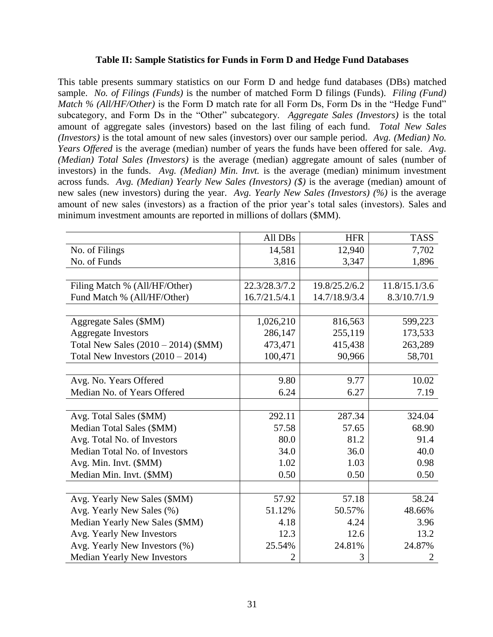# **Table II: Sample Statistics for Funds in Form D and Hedge Fund Databases**

This table presents summary statistics on our Form D and hedge fund databases (DBs) matched sample. *No. of Filings (Funds)* is the number of matched Form D filings (Funds). *Filing (Fund) Match % (All/HF/Other)* is the Form D match rate for all Form Ds, Form Ds in the "Hedge Fund" subcategory, and Form Ds in the "Other" subcategory. *Aggregate Sales (Investors)* is the total amount of aggregate sales (investors) based on the last filing of each fund. *Total New Sales (Investors)* is the total amount of new sales (investors) over our sample period. *Avg. (Median) No. Years Offered* is the average (median) number of years the funds have been offered for sale. *Avg. (Median) Total Sales (Investors)* is the average (median) aggregate amount of sales (number of investors) in the funds. *Avg. (Median) Min. Invt.* is the average (median) minimum investment across funds. *Avg. (Median) Yearly New Sales (Investors) (\$)* is the average (median) amount of new sales (new investors) during the year. *Avg. Yearly New Sales (Investors) (%)* is the average amount of new sales (investors) as a fraction of the prior year's total sales (investors). Sales and minimum investment amounts are reported in millions of dollars (\$MM).

|                                        | All DBs       | <b>HFR</b>    | <b>TASS</b>   |
|----------------------------------------|---------------|---------------|---------------|
| No. of Filings                         | 14,581        | 12,940        | 7,702         |
| No. of Funds                           | 3,816         | 3,347         | 1,896         |
|                                        |               |               |               |
| Filing Match % (All/HF/Other)          | 22.3/28.3/7.2 | 19.8/25.2/6.2 | 11.8/15.1/3.6 |
| Fund Match % (All/HF/Other)            | 16.7/21.5/4.1 | 14.7/18.9/3.4 | 8.3/10.7/1.9  |
|                                        |               |               |               |
| Aggregate Sales (\$MM)                 | 1,026,210     | 816,563       | 599,223       |
| <b>Aggregate Investors</b>             | 286,147       | 255,119       | 173,533       |
| Total New Sales $(2010 - 2014)$ (\$MM) | 473,471       | 415,438       | 263,289       |
| Total New Investors $(2010 – 2014)$    | 100,471       | 90,966        | 58,701        |
|                                        |               |               |               |
| Avg. No. Years Offered                 | 9.80          | 9.77          | 10.02         |
| Median No. of Years Offered            | 6.24          | 6.27          | 7.19          |
|                                        |               |               |               |
| Avg. Total Sales (\$MM)                | 292.11        | 287.34        | 324.04        |
| Median Total Sales (\$MM)              | 57.58         | 57.65         | 68.90         |
| Avg. Total No. of Investors            | 80.0          | 81.2          | 91.4          |
| Median Total No. of Investors          | 34.0          | 36.0          | 40.0          |
| Avg. Min. Invt. (\$MM)                 | 1.02          | 1.03          | 0.98          |
| Median Min. Invt. (\$MM)               | 0.50          | 0.50          | 0.50          |
|                                        |               |               |               |
| Avg. Yearly New Sales (\$MM)           | 57.92         | 57.18         | 58.24         |
| Avg. Yearly New Sales (%)              | 51.12%        | 50.57%        | 48.66%        |
| Median Yearly New Sales (\$MM)         | 4.18          | 4.24          | 3.96          |
| Avg. Yearly New Investors              | 12.3          | 12.6          | 13.2          |
| Avg. Yearly New Investors (%)          | 25.54%        | 24.81%        | 24.87%        |
| <b>Median Yearly New Investors</b>     | 2             | 3             | 2             |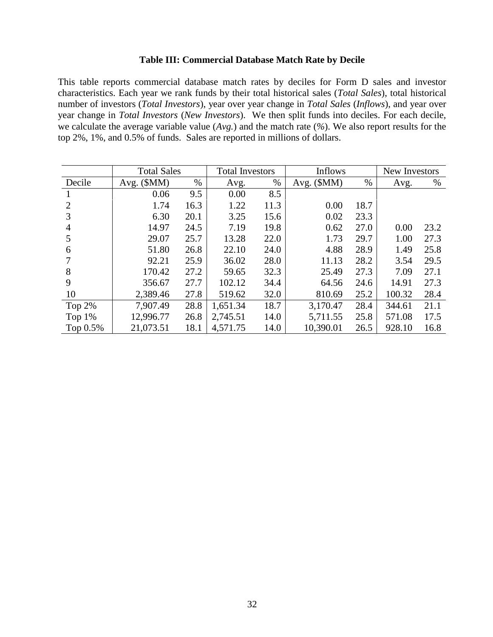# **Table III: Commercial Database Match Rate by Decile**

This table reports commercial database match rates by deciles for Form D sales and investor characteristics. Each year we rank funds by their total historical sales (*Total Sales*), total historical number of investors (*Total Investors*), year over year change in *Total Sales* (*Inflows*), and year over year change in *Total Investors* (*New Investors*). We then split funds into deciles. For each decile, we calculate the average variable value (*Avg.*) and the match rate (*%*). We also report results for the top 2%, 1%, and 0.5% of funds. Sales are reported in millions of dollars.

|                | <b>Total Sales</b> |      | <b>Total Investors</b> |      | <b>Inflows</b> | New Investors |        |      |
|----------------|--------------------|------|------------------------|------|----------------|---------------|--------|------|
| Decile         | Avg. $(SMM)$       | $\%$ | Avg.                   | $\%$ | Avg. $(SMM)$   | $\%$          | Avg.   | $\%$ |
|                | 0.06               | 9.5  | 0.00                   | 8.5  |                |               |        |      |
| 2              | 1.74               | 16.3 | 1.22                   | 11.3 | 0.00           | 18.7          |        |      |
| 3              | 6.30               | 20.1 | 3.25                   | 15.6 | 0.02           | 23.3          |        |      |
| $\overline{4}$ | 14.97              | 24.5 | 7.19                   | 19.8 | 0.62           | 27.0          | 0.00   | 23.2 |
| 5              | 29.07              | 25.7 | 13.28                  | 22.0 | 1.73           | 29.7          | 1.00   | 27.3 |
| 6              | 51.80              | 26.8 | 22.10                  | 24.0 | 4.88           | 28.9          | 1.49   | 25.8 |
|                | 92.21              | 25.9 | 36.02                  | 28.0 | 11.13          | 28.2          | 3.54   | 29.5 |
| 8              | 170.42             | 27.2 | 59.65                  | 32.3 | 25.49          | 27.3          | 7.09   | 27.1 |
| 9              | 356.67             | 27.7 | 102.12                 | 34.4 | 64.56          | 24.6          | 14.91  | 27.3 |
| 10             | 2,389.46           | 27.8 | 519.62                 | 32.0 | 810.69         | 25.2          | 100.32 | 28.4 |
| Top $2%$       | 7,907.49           | 28.8 | 1,651.34               | 18.7 | 3,170.47       | 28.4          | 344.61 | 21.1 |
| Top $1\%$      | 12,996.77          | 26.8 | 2,745.51               | 14.0 | 5,711.55       | 25.8          | 571.08 | 17.5 |
| Top 0.5%       | 21,073.51          | 18.1 | 4,571.75               | 14.0 | 10,390.01      | 26.5          | 928.10 | 16.8 |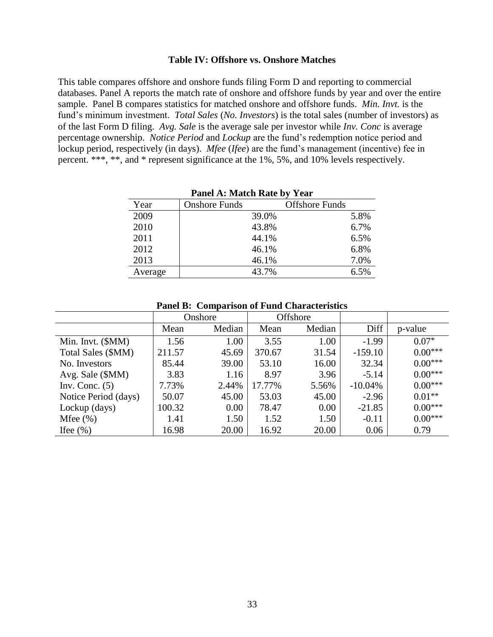# **Table IV: Offshore vs. Onshore Matches**

This table compares offshore and onshore funds filing Form D and reporting to commercial databases. Panel A reports the match rate of onshore and offshore funds by year and over the entire sample. Panel B compares statistics for matched onshore and offshore funds. *Min. Invt.* is the fund's minimum investment. *Total Sales* (*No. Investors*) is the total sales (number of investors) as of the last Form D filing. *Avg. Sale* is the average sale per investor while *Inv. Conc* is average percentage ownership. *Notice Period* and *Lockup* are the fund's redemption notice period and lockup period, respectively (in days). *Mfee* (*Ifee*) are the fund's management (incentive) fee in percent. \*\*\*, \*\*, and \* represent significance at the 1%, 5%, and 10% levels respectively.

| Panel A: Match Rate by Year |                      |                       |      |  |  |  |  |  |
|-----------------------------|----------------------|-----------------------|------|--|--|--|--|--|
| Year                        | <b>Onshore Funds</b> | <b>Offshore Funds</b> |      |  |  |  |  |  |
| 2009                        |                      | 39.0%                 | 5.8% |  |  |  |  |  |
| 2010                        |                      | 43.8%                 | 6.7% |  |  |  |  |  |
| 2011                        |                      | 44.1%                 | 6.5% |  |  |  |  |  |
| 2012                        |                      | 46.1%                 | 6.8% |  |  |  |  |  |
| 2013                        |                      | 46.1%                 | 7.0% |  |  |  |  |  |
| Average                     |                      | 43.7%                 | 6.5% |  |  |  |  |  |

**Panel B: Comparison of Fund Characteristics**

|                      | Onshore |        |        | <b>Offshore</b> |           |           |
|----------------------|---------|--------|--------|-----------------|-----------|-----------|
|                      | Mean    | Median | Mean   | Median          | Diff      | p-value   |
| Min. Invt. (\$MM)    | 1.56    | 1.00   | 3.55   | 1.00            | $-1.99$   | $0.07*$   |
| Total Sales (\$MM)   | 211.57  | 45.69  | 370.67 | 31.54           | $-159.10$ | $0.00***$ |
| No. Investors        | 85.44   | 39.00  | 53.10  | 16.00           | 32.34     | $0.00***$ |
| Avg. Sale (\$MM)     | 3.83    | 1.16   | 8.97   | 3.96            | $-5.14$   | $0.00***$ |
| Inv. Conc. $(5)$     | 7.73%   | 2.44%  | 17.77% | 5.56%           | $-10.04%$ | $0.00***$ |
| Notice Period (days) | 50.07   | 45.00  | 53.03  | 45.00           | $-2.96$   | $0.01**$  |
| Lockup (days)        | 100.32  | 0.00   | 78.47  | 0.00            | $-21.85$  | $0.00***$ |
| Mfee $(\% )$         | 1.41    | 1.50   | 1.52   | 1.50            | $-0.11$   | $0.00***$ |
| Ifee $(\% )$         | 16.98   | 20.00  | 16.92  | 20.00           | 0.06      | 0.79      |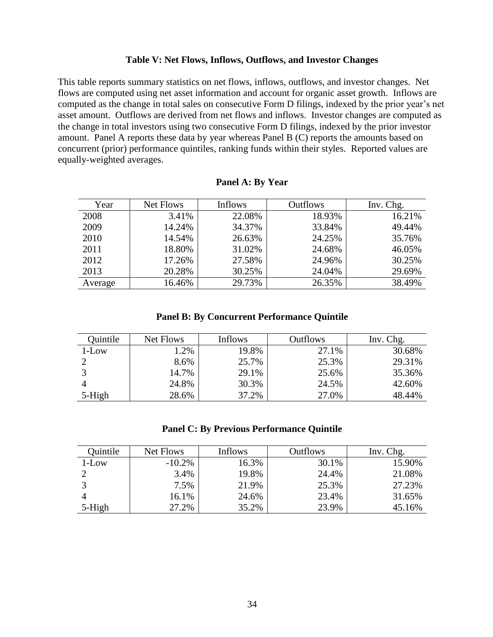# **Table V: Net Flows, Inflows, Outflows, and Investor Changes**

This table reports summary statistics on net flows, inflows, outflows, and investor changes. Net flows are computed using net asset information and account for organic asset growth. Inflows are computed as the change in total sales on consecutive Form D filings, indexed by the prior year's net asset amount. Outflows are derived from net flows and inflows. Investor changes are computed as the change in total investors using two consecutive Form D filings, indexed by the prior investor amount. Panel A reports these data by year whereas Panel B (C) reports the amounts based on concurrent (prior) performance quintiles, ranking funds within their styles. Reported values are equally-weighted averages.

| Year    | Net Flows | Inflows | <b>Outflows</b> | Inv. Chg. |
|---------|-----------|---------|-----------------|-----------|
| 2008    | 3.41%     | 22.08%  | 18.93%          | 16.21%    |
| 2009    | 14.24%    | 34.37%  | 33.84%          | 49.44%    |
| 2010    | 14.54%    | 26.63%  | 24.25%          | 35.76%    |
| 2011    | 18.80%    | 31.02%  | 24.68%          | 46.05%    |
| 2012    | 17.26%    | 27.58%  | 24.96%          | 30.25%    |
| 2013    | 20.28%    | 30.25%  | 24.04%          | 29.69%    |
| Average | 16.46%    | 29.73%  | 26.35%          | 38.49%    |

| <b>Panel A: By Year</b> |  |  |  |
|-------------------------|--|--|--|
|-------------------------|--|--|--|

## **Panel B: By Concurrent Performance Quintile**

| Quintile | Net Flows | <b>Inflows</b> | <b>Outflows</b> | Inv. Chg. |
|----------|-----------|----------------|-----------------|-----------|
| $1$ -Low | 1.2%      | 19.8%          | 27.1%           | 30.68%    |
|          | 8.6%      | 25.7%          | 25.3%           | 29.31%    |
|          | 14.7%     | 29.1%          | 25.6%           | 35.36%    |
|          | 24.8%     | 30.3%          | 24.5%           | 42.60%    |
| 5-High   | 28.6%     | 37.2%          | 27.0%           | 48.44%    |

# **Panel C: By Previous Performance Quintile**

| Ouintile | Net Flows | Inflows | Outflows | Inv. Chg. |
|----------|-----------|---------|----------|-----------|
| $1$ -Low | $-10.2\%$ | 16.3%   | 30.1%    | 15.90%    |
|          | 3.4%      | 19.8%   | 24.4%    | 21.08%    |
|          | 7.5%      | 21.9%   | 25.3%    | 27.23%    |
|          | 16.1%     | 24.6%   | 23.4%    | 31.65%    |
| 5-High   | 27.2%     | 35.2%   | 23.9%    | 45.16%    |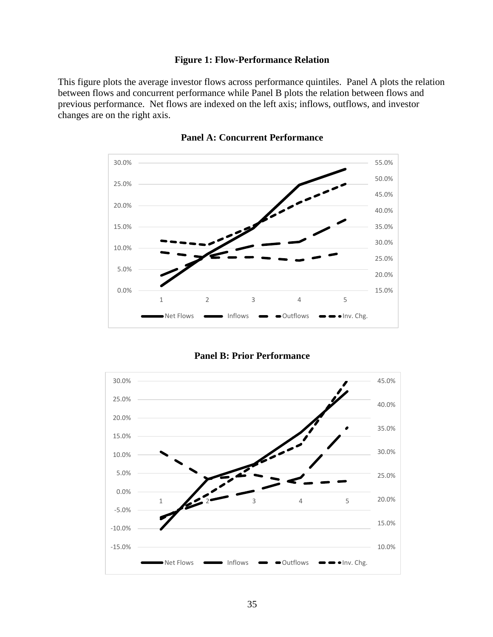# **Figure 1: Flow-Performance Relation**

This figure plots the average investor flows across performance quintiles. Panel A plots the relation between flows and concurrent performance while Panel B plots the relation between flows and previous performance. Net flows are indexed on the left axis; inflows, outflows, and investor changes are on the right axis.



**Panel A: Concurrent Performance**

**Panel B: Prior Performance**

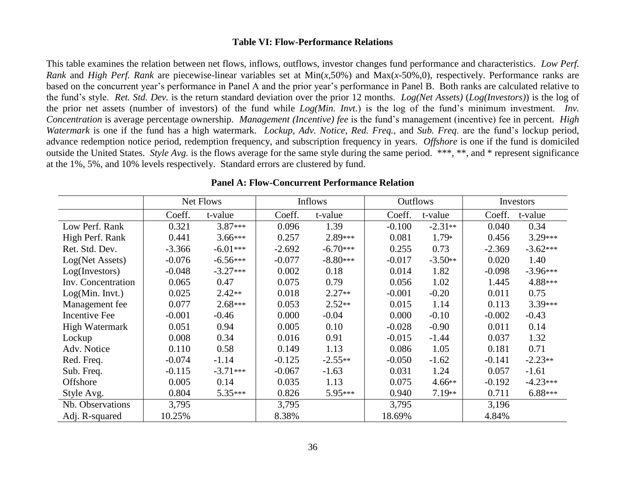#### **Table VI: Flow-Performance Relations**

This table examines the relation between net flows, inflows, outflows, investor changes fund performance and characteristics. *Low Perf. Rank* and *High Perf. Rank* are piecewise-linear variables set at Min(*x*,50%) and Max(*x*-50%,0), respectively. Performance ranks are based on the concurrent year's performance in Panel A and the prior year's performance in Panel B. Both ranks are calculated relative to the fund's style. *Ret. Std. Dev.* is the return standard deviation over the prior 12 months. *Log(Net Assets)* (*Log(Investors)*) is the log of the prior net assets (number of investors) of the fund while *Log(Min. Invt.*) is the log of the fund's minimum investment. *Inv. Concentration* is average percentage ownership. *Management (Incentive) fee* is the fund's management (incentive) fee in percent. *High Watermark* is one if the fund has a high watermark. *Lockup, Adv. Notice*, *Red. Freq.*, and *Sub. Freq*. are the fund's lockup period, advance redemption notice period, redemption frequency, and subscription frequency in years. *Offshore* is one if the fund is domiciled outside the United States. *Style Avg.* is the flows average for the same style during the same period. \*\*\*, \*\*, and \* represent significance at the 1%, 5%, and 10% levels respectively. Standard errors are clustered by fund.

|                       | Net Flows |            | <b>Inflows</b> |            | <b>Outflows</b> |           | Investors |            |
|-----------------------|-----------|------------|----------------|------------|-----------------|-----------|-----------|------------|
|                       | Coeff.    | t-value    | Coeff.         | t-value    | Coeff.          | t-value   | Coeff.    | t-value    |
| Low Perf. Rank        | 0.321     | $3.87***$  | 0.096          | 1.39       | $-0.100$        | $-2.31**$ | 0.040     | 0.34       |
| High Perf. Rank       | 0.441     | $3.66***$  | 0.257          | $2.89***$  | 0.081           | $1.79*$   | 0.456     | $3.29***$  |
| Ret. Std. Dev.        | $-3.366$  | $-6.01***$ | $-2.692$       | $-6.70***$ | 0.255           | 0.73      | $-2.369$  | $-3.62***$ |
| Log(Net Assets)       | $-0.076$  | $-6.56***$ | $-0.077$       | $-8.80***$ | $-0.017$        | $-3.50**$ | 0.020     | 1.40       |
| Log(Investors)        | $-0.048$  | $-3.27***$ | 0.002          | 0.18       | 0.014           | 1.82      | $-0.098$  | $-3.96***$ |
| Inv. Concentration    | 0.065     | 0.47       | 0.075          | 0.79       | 0.056           | 1.02      | 1.445     | 4.88***    |
| Log(Min. Invt.)       | 0.025     | $2.42**$   | 0.018          | $2.27**$   | $-0.001$        | $-0.20$   | 0.011     | 0.75       |
| Management fee        | 0.077     | $2.68***$  | 0.053          | $2.52**$   | 0.015           | 1.14      | 0.113     | $3.39***$  |
| <b>Incentive Fee</b>  | $-0.001$  | $-0.46$    | 0.000          | $-0.04$    | 0.000           | $-0.10$   | $-0.002$  | $-0.43$    |
| <b>High Watermark</b> | 0.051     | 0.94       | 0.005          | 0.10       | $-0.028$        | $-0.90$   | 0.011     | 0.14       |
| Lockup                | 0.008     | 0.34       | 0.016          | 0.91       | $-0.015$        | $-1.44$   | 0.037     | 1.32       |
| Adv. Notice           | 0.110     | 0.58       | 0.149          | 1.13       | 0.086           | 1.05      | 0.181     | 0.71       |
| Red. Freq.            | $-0.074$  | $-1.14$    | $-0.125$       | $-2.55**$  | $-0.050$        | $-1.62$   | $-0.141$  | $-2.23**$  |
| Sub. Freq.            | $-0.115$  | $-3.71***$ | $-0.067$       | $-1.63$    | 0.031           | 1.24      | 0.057     | $-1.61$    |
| Offshore              | 0.005     | 0.14       | 0.035          | 1.13       | 0.075           | $4.66**$  | $-0.192$  | $-4.23***$ |
| Style Avg.            | 0.804     | $5.35***$  | 0.826          | 5.95***    | 0.940           | $7.19**$  | 0.711     | $6.88***$  |
| Nb. Observations      | 3,795     |            | 3,795          |            | 3,795           |           | 3,196     |            |
| Adj. R-squared        | 10.25%    |            | 8.38%          |            | 18.69%          |           | 4.84%     |            |

# **Panel A: Flow-Concurrent Performance Relation**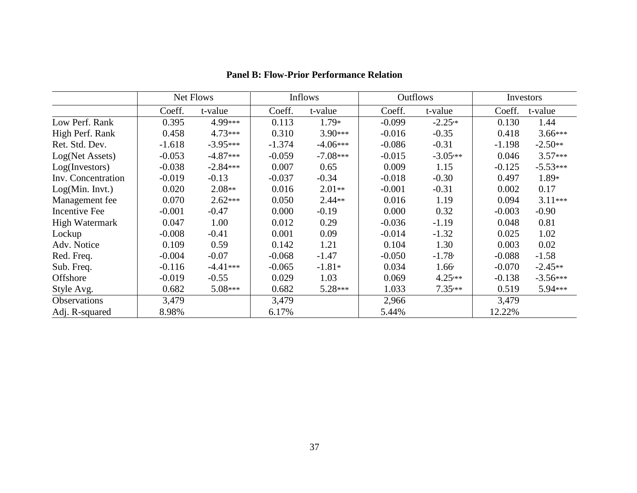|                       | Net Flows |            | Inflows  |            | <b>Outflows</b> |                |          | Investors  |  |
|-----------------------|-----------|------------|----------|------------|-----------------|----------------|----------|------------|--|
|                       | Coeff.    | t-value    | Coeff.   | t-value    | Coeff.          | t-value        | Coeff.   | t-value    |  |
| Low Perf. Rank        | 0.395     | 4.99***    | 0.113    | $1.79*$    | $-0.099$        | $-2.25**$      | 0.130    | 1.44       |  |
| High Perf. Rank       | 0.458     | $4.73***$  | 0.310    | $3.90***$  | $-0.016$        | $-0.35$        | 0.418    | $3.66***$  |  |
| Ret. Std. Dev.        | $-1.618$  | $-3.95***$ | $-1.374$ | $-4.06***$ | $-0.086$        | $-0.31$        | $-1.198$ | $-2.50**$  |  |
| Log(Net Assets)       | $-0.053$  | $-4.87***$ | $-0.059$ | $-7.08***$ | $-0.015$        | $-3.05***$     | 0.046    | $3.57***$  |  |
| Log(Investors)        | $-0.038$  | $-2.84***$ | 0.007    | 0.65       | 0.009           | 1.15           | $-0.125$ | $-5.53***$ |  |
| Inv. Concentration    | $-0.019$  | $-0.13$    | $-0.037$ | $-0.34$    | $-0.018$        | $-0.30$        | 0.497    | $1.89*$    |  |
| Log(Min. Invt.)       | 0.020     | $2.08**$   | 0.016    | $2.01**$   | $-0.001$        | $-0.31$        | 0.002    | 0.17       |  |
| Management fee        | 0.070     | $2.62***$  | 0.050    | $2.44**$   | 0.016           | 1.19           | 0.094    | $3.11***$  |  |
| <b>Incentive Fee</b>  | $-0.001$  | $-0.47$    | 0.000    | $-0.19$    | 0.000           | 0.32           | $-0.003$ | $-0.90$    |  |
| <b>High Watermark</b> | 0.047     | 1.00       | 0.012    | 0.29       | $-0.036$        | $-1.19$        | 0.048    | 0.81       |  |
| Lockup                | $-0.008$  | $-0.41$    | 0.001    | 0.09       | $-0.014$        | $-1.32$        | 0.025    | 1.02       |  |
| Adv. Notice           | 0.109     | 0.59       | 0.142    | 1.21       | 0.104           | 1.30           | 0.003    | 0.02       |  |
| Red. Freq.            | $-0.004$  | $-0.07$    | $-0.068$ | $-1.47$    | $-0.050$        | $-1.78$        | $-0.088$ | $-1.58$    |  |
| Sub. Freq.            | $-0.116$  | $-4.41***$ | $-0.065$ | $-1.81*$   | 0.034           | $1.66^{\circ}$ | $-0.070$ | $-2.45**$  |  |
| Offshore              | $-0.019$  | $-0.55$    | 0.029    | 1.03       | 0.069           | $4.25***$      | $-0.138$ | $-3.56***$ |  |
| Style Avg.            | 0.682     | $5.08***$  | 0.682    | $5.28***$  | 1.033           | $7.35***$      | 0.519    | 5.94***    |  |
| Observations          | 3,479     |            | 3,479    |            | 2,966           |                | 3,479    |            |  |
| Adj. R-squared        | 8.98%     |            | 6.17%    |            | 5.44%           |                | 12.22%   |            |  |

# **Panel B: Flow-Prior Performance Relation**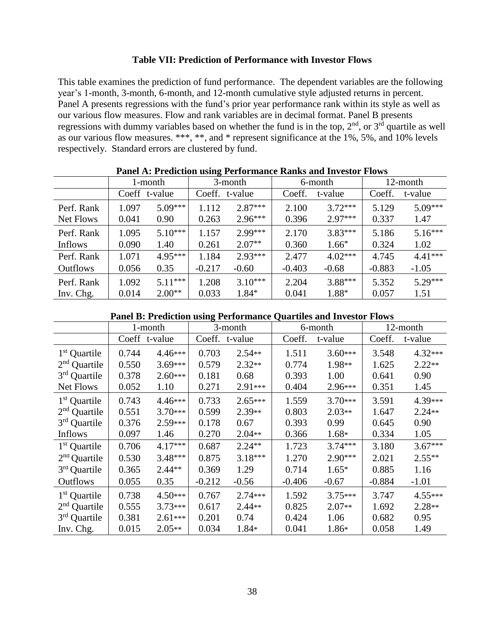# **Table VII: Prediction of Performance with Investor Flows**

This table examines the prediction of fund performance. The dependent variables are the following year's 1-month, 3-month, 6-month, and 12-month cumulative style adjusted returns in percent. Panel A presents regressions with the fund's prior year performance rank within its style as well as our various flow measures. Flow and rank variables are in decimal format. Panel B presents regressions with dummy variables based on whether the fund is in the top,  $2<sup>nd</sup>$ , or  $3<sup>rd</sup>$  quartile as well as our various flow measures. \*\*\*, \*\*, and \* represent significance at the 1%, 5%, and 10% levels respectively. Standard errors are clustered by fund.

| I and A. I Rurelion using I criormance Rains and Investor Flows |       |               |          |           |          |           |          |           |  |
|-----------------------------------------------------------------|-------|---------------|----------|-----------|----------|-----------|----------|-----------|--|
|                                                                 |       | 1-month       | 3-month  |           | 6-month  |           |          | 12-month  |  |
|                                                                 |       | Coeff t-value | Coeff.   | t-value   | Coeff.   | t-value   | Coeff.   | t-value   |  |
| Perf. Rank                                                      | 1.097 | $5.09***$     | 1.112    | $2.87***$ | 2.100    | $3.72***$ | 5.129    | $5.09***$ |  |
| Net Flows                                                       | 0.041 | 0.90          | 0.263    | $2.96***$ | 0.396    | $2.97***$ | 0.337    | 1.47      |  |
| Perf. Rank                                                      | 1.095 | $5.10***$     | 1.157    | $2.99***$ | 2.170    | $3.83***$ | 5.186    | $5.16***$ |  |
| Inflows                                                         | 0.090 | 1.40          | 0.261    | $2.07**$  | 0.360    | $1.66*$   | 0.324    | 1.02      |  |
| Perf. Rank                                                      | 1.071 | $4.95***$     | 1.184    | $2.93***$ | 2.477    | $4.02***$ | 4.745    | $4.41***$ |  |
| <b>Outflows</b>                                                 | 0.056 | 0.35          | $-0.217$ | $-0.60$   | $-0.403$ | $-0.68$   | $-0.883$ | $-1.05$   |  |
| Perf. Rank                                                      | 1.092 | $5.11***$     | 1.208    | $3.10***$ | 2.204    | $3.88***$ | 5.352    | $5.29***$ |  |
| Inv. Chg.                                                       | 0.014 | $2.00**$      | 0.033    | $1.84*$   | 0.041    | 1.88*     | 0.057    | 1.51      |  |

**Panel A: Prediction using Performance Ranks and Investor Flows**

## **Panel B: Prediction using Performance Quartiles and Investor Flows**

|                          | 1-month |               | 3-month  |           |          | 6-month   | 12-month |           |
|--------------------------|---------|---------------|----------|-----------|----------|-----------|----------|-----------|
|                          |         | Coeff t-value | Coeff.   | t-value   | Coeff.   | t-value   | Coeff.   | t-value   |
| $1st$ Quartile           | 0.744   | $4.46***$     | 0.703    | $2.54**$  | 1.511    | $3.60***$ | 3.548    | $4.32***$ |
| $2nd$ Quartile           | 0.550   | $3.69***$     | 0.579    | $2.32**$  | 0.774    | 1.98**    | 1.625    | $2.22**$  |
| 3 <sup>rd</sup> Quartile | 0.378   | $2.60***$     | 0.181    | 0.68      | 0.393    | 1.00      | 0.641    | 0.90      |
| Net Flows                | 0.052   | 1.10          | 0.271    | $2.91***$ | 0.404    | 2.96***   | 0.351    | 1.45      |
| $1st$ Quartile           | 0.743   | $4.46***$     | 0.733    | $2.65***$ | 1.559    | $3.70***$ | 3.591    | 4.39***   |
| $2nd$ Quartile           | 0.551   | $3.70***$     | 0.599    | $2.39**$  | 0.803    | $2.03**$  | 1.647    | $2.24**$  |
| 3 <sup>rd</sup> Quartile | 0.376   | $2.59***$     | 0.178    | 0.67      | 0.393    | 0.99      | 0.645    | 0.90      |
| Inflows                  | 0.097   | 1.46          | 0.270    | $2.04**$  | 0.366    | $1.68*$   | 0.334    | 1.05      |
| 1 <sup>st</sup> Quartile | 0.706   | $4.17***$     | 0.687    | $2.24**$  | 1.723    | $3.74***$ | 3.180    | $3.67***$ |
| $2nd$ Quartile           | 0.530   | $3.48***$     | 0.875    | $3.18***$ | 1.270    | $2.90***$ | 2.021    | $2.55**$  |
| $3rd$ Quartile           | 0.365   | $2.44**$      | 0.369    | 1.29      | 0.714    | $1.65*$   | 0.885    | 1.16      |
| Outflows                 | 0.055   | 0.35          | $-0.212$ | $-0.56$   | $-0.406$ | $-0.67$   | $-0.884$ | $-1.01$   |
| $1st$ Quartile           | 0.738   | $4.50***$     | 0.767    | 2.74***   | 1.592    | $3.75***$ | 3.747    | $4.55***$ |
| $2nd$ Quartile           | 0.555   | $3.73***$     | 0.617    | $2.44**$  | 0.825    | $2.07**$  | 1.692    | $2.28**$  |
| 3 <sup>rd</sup> Quartile | 0.381   | $2.61***$     | 0.201    | 0.74      | 0.424    | 1.06      | 0.682    | 0.95      |
| Inv. Chg.                | 0.015   | $2.05**$      | 0.034    | 1.84*     | 0.041    | 1.86*     | 0.058    | 1.49      |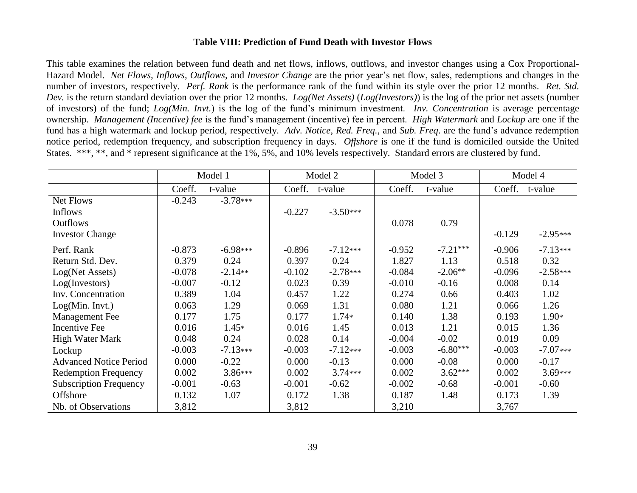# **Table VIII: Prediction of Fund Death with Investor Flows**

This table examines the relation between fund death and net flows, inflows, outflows, and investor changes using a Cox Proportional-Hazard Model. *Net Flows, Inflows, Outflows,* and *Investor Change* are the prior year's net flow, sales, redemptions and changes in the number of investors, respectively. *Perf. Rank* is the performance rank of the fund within its style over the prior 12 months. *Ret. Std. Dev.* is the return standard deviation over the prior 12 months. *Log(Net Assets)* (*Log(Investors)*) is the log of the prior net assets (number of investors) of the fund; *Log(Min. Invt.*) is the log of the fund's minimum investment. *Inv. Concentration* is average percentage ownership. *Management (Incentive) fee* is the fund's management (incentive) fee in percent. *High Watermark* and *Lockup* are one if the fund has a high watermark and lockup period, respectively. *Adv. Notice*, *Red. Freq.*, and *Sub. Freq*. are the fund's advance redemption notice period, redemption frequency, and subscription frequency in days. *Offshore* is one if the fund is domiciled outside the United States. \*\*\*, \*\*, and \* represent significance at the 1%, 5%, and 10% levels respectively. Standard errors are clustered by fund.

|                               | Model 1  |            | Model 2  |            | Model 3  |            | Model 4  |            |
|-------------------------------|----------|------------|----------|------------|----------|------------|----------|------------|
|                               | Coeff.   | t-value    | Coeff.   | t-value    | Coeff.   | t-value    | Coeff.   | t-value    |
| Net Flows                     | $-0.243$ | $-3.78***$ |          |            |          |            |          |            |
| <b>Inflows</b>                |          |            | $-0.227$ | $-3.50***$ |          |            |          |            |
| <b>Outflows</b>               |          |            |          |            | 0.078    | 0.79       |          |            |
| <b>Investor Change</b>        |          |            |          |            |          |            | $-0.129$ | $-2.95***$ |
| Perf. Rank                    | $-0.873$ | $-6.98***$ | $-0.896$ | $-7.12***$ | $-0.952$ | $-7.21***$ | $-0.906$ | $-7.13***$ |
| Return Std. Dev.              | 0.379    | 0.24       | 0.397    | 0.24       | 1.827    | 1.13       | 0.518    | 0.32       |
| Log(Net Assets)               | $-0.078$ | $-2.14**$  | $-0.102$ | $-2.78***$ | $-0.084$ | $-2.06**$  | $-0.096$ | $-2.58***$ |
| Log(Investors)                | $-0.007$ | $-0.12$    | 0.023    | 0.39       | $-0.010$ | $-0.16$    | 0.008    | 0.14       |
| Inv. Concentration            | 0.389    | 1.04       | 0.457    | 1.22       | 0.274    | 0.66       | 0.403    | 1.02       |
| Log(Min. Invt.)               | 0.063    | 1.29       | 0.069    | 1.31       | 0.080    | 1.21       | 0.066    | 1.26       |
| Management Fee                | 0.177    | 1.75       | 0.177    | $1.74*$    | 0.140    | 1.38       | 0.193    | $1.90*$    |
| <b>Incentive Fee</b>          | 0.016    | $1.45*$    | 0.016    | 1.45       | 0.013    | 1.21       | 0.015    | 1.36       |
| <b>High Water Mark</b>        | 0.048    | 0.24       | 0.028    | 0.14       | $-0.004$ | $-0.02$    | 0.019    | 0.09       |
| Lockup                        | $-0.003$ | $-7.13***$ | $-0.003$ | $-7.12***$ | $-0.003$ | $-6.80***$ | $-0.003$ | $-7.07***$ |
| <b>Advanced Notice Period</b> | 0.000    | $-0.22$    | 0.000    | $-0.13$    | 0.000    | $-0.08$    | 0.000    | $-0.17$    |
| <b>Redemption Frequency</b>   | 0.002    | $3.86***$  | 0.002    | $3.74***$  | 0.002    | $3.62***$  | 0.002    | $3.69***$  |
| <b>Subscription Frequency</b> | $-0.001$ | $-0.63$    | $-0.001$ | $-0.62$    | $-0.002$ | $-0.68$    | $-0.001$ | $-0.60$    |
| Offshore                      | 0.132    | 1.07       | 0.172    | 1.38       | 0.187    | 1.48       | 0.173    | 1.39       |
| Nb. of Observations           | 3,812    |            | 3,812    |            | 3,210    |            | 3,767    |            |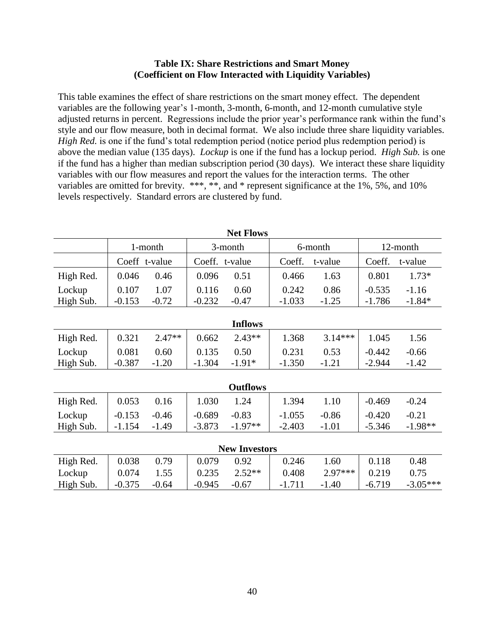# **Table IX: Share Restrictions and Smart Money (Coefficient on Flow Interacted with Liquidity Variables)**

This table examines the effect of share restrictions on the smart money effect. The dependent variables are the following year's 1-month, 3-month, 6-month, and 12-month cumulative style adjusted returns in percent. Regressions include the prior year's performance rank within the fund's style and our flow measure, both in decimal format. We also include three share liquidity variables. *High Red.* is one if the fund's total redemption period (notice period plus redemption period) is above the median value (135 days). *Lockup* is one if the fund has a lockup period. *High Sub.* is one if the fund has a higher than median subscription period (30 days). We interact these share liquidity variables with our flow measures and report the values for the interaction terms. The other variables are omitted for brevity. \*\*\*, \*\*, and \* represent significance at the 1%, 5%, and 10% levels respectively. Standard errors are clustered by fund.

| <b>Net Flows</b>     |          |               |          |                 |          |           |          |            |  |  |  |
|----------------------|----------|---------------|----------|-----------------|----------|-----------|----------|------------|--|--|--|
|                      | 1-month  |               | 3-month  |                 |          | 6-month   | 12-month |            |  |  |  |
|                      |          | Coeff t-value |          | Coeff. t-value  | Coeff.   | t-value   | Coeff.   | t-value    |  |  |  |
| High Red.            | 0.046    | 0.46          | 0.096    | 0.51            | 0.466    | 1.63      | 0.801    | $1.73*$    |  |  |  |
| Lockup               | 0.107    | 1.07          | 0.116    | 0.60            | 0.242    | 0.86      | $-0.535$ | $-1.16$    |  |  |  |
| High Sub.            | $-0.153$ | $-0.72$       | $-0.232$ | $-0.47$         | $-1.033$ | $-1.25$   | $-1.786$ | $-1.84*$   |  |  |  |
| <b>Inflows</b>       |          |               |          |                 |          |           |          |            |  |  |  |
| High Red.            | 0.321    | $2.47**$      | 0.662    | $2.43**$        | 1.368    | $3.14***$ | 1.045    | 1.56       |  |  |  |
| Lockup               | 0.081    | 0.60          | 0.135    | 0.50            | 0.231    | 0.53      | $-0.442$ | $-0.66$    |  |  |  |
| High Sub.            | $-0.387$ | $-1.20$       | $-1.304$ | $-1.91*$        | $-1.350$ | $-1.21$   | $-2.944$ | $-1.42$    |  |  |  |
|                      |          |               |          |                 |          |           |          |            |  |  |  |
|                      |          |               |          | <b>Outflows</b> |          |           |          |            |  |  |  |
| High Red.            | 0.053    | 0.16          | 1.030    | 1.24            | 1.394    | 1.10      | $-0.469$ | $-0.24$    |  |  |  |
| Lockup               | $-0.153$ | $-0.46$       | $-0.689$ | $-0.83$         | $-1.055$ | $-0.86$   | $-0.420$ | $-0.21$    |  |  |  |
| High Sub.            | $-1.154$ | $-1.49$       | $-3.873$ | $-1.97**$       | $-2.403$ | $-1.01$   | $-5.346$ | $-1.98**$  |  |  |  |
|                      |          |               |          |                 |          |           |          |            |  |  |  |
| <b>New Investors</b> |          |               |          |                 |          |           |          |            |  |  |  |
| High Red.            | 0.038    | 0.79          | 0.079    | 0.92            | 0.246    | 1.60      | 0.118    | 0.48       |  |  |  |
| Lockup               | 0.074    | 1.55          | 0.235    | $2.52**$        | 0.408    | $2.97***$ | 0.219    | 0.75       |  |  |  |
| High Sub.            | $-0.375$ | $-0.64$       | $-0.945$ | $-0.67$         | $-1.711$ | $-1.40$   | $-6.719$ | $-3.05***$ |  |  |  |